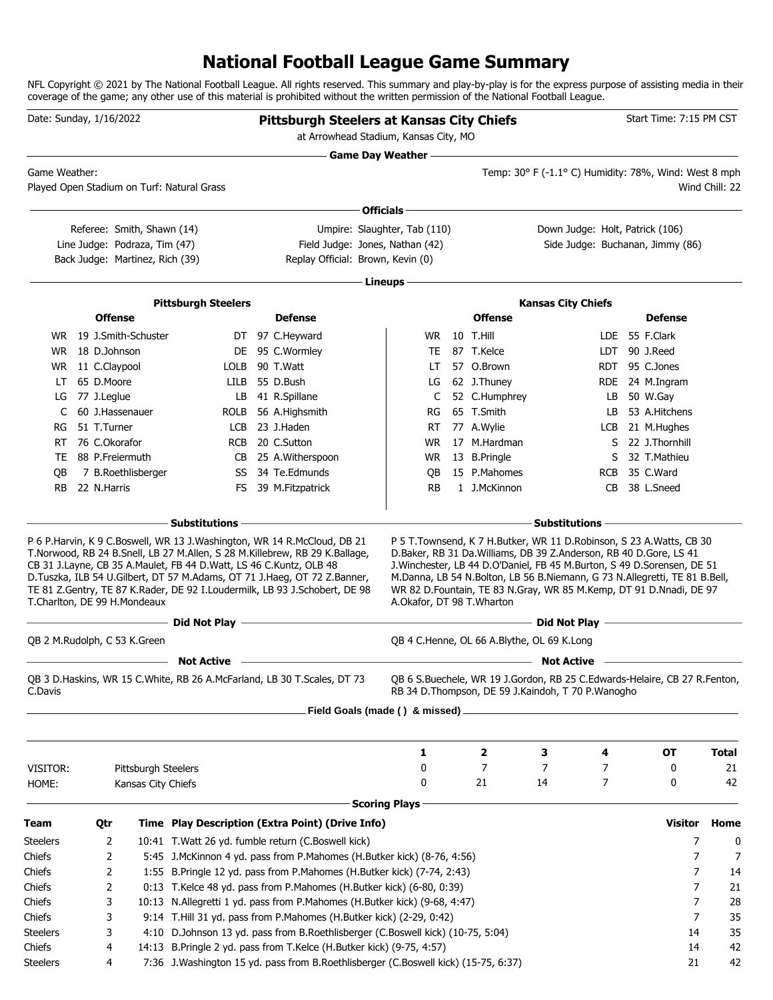## **National Football League Game Summary**

NFL Copyright © 2021 by The National Football League. All rights reserved. This summary and play-by-play is for the express purpose of assisting media in their coverage of the game; any other use of this material is prohibited without the written permission of the National Football League.

| Date: Sunday, 1/16/2022      |  |                 |                                 |                                                                    |  | <b>Pittsburgh Steelers at Kansas City Chiefs</b><br>at Arrowhead Stadium, Kansas City, MO                                                                                                                                             |                              |  |                |                                                                                                                                                                                                                                                                                                     | Start Time: 7:15 PM CST |                                  |                |
|------------------------------|--|-----------------|---------------------------------|--------------------------------------------------------------------|--|---------------------------------------------------------------------------------------------------------------------------------------------------------------------------------------------------------------------------------------|------------------------------|--|----------------|-----------------------------------------------------------------------------------------------------------------------------------------------------------------------------------------------------------------------------------------------------------------------------------------------------|-------------------------|----------------------------------|----------------|
| Game Weather:                |  |                 |                                 | Played Open Stadium on Turf: Natural Grass                         |  |                                                                                                                                                                                                                                       | Game Day Weather -           |  |                | Temp: 30° F (-1.1° C) Humidity: 78%, Wind: West 8 mph                                                                                                                                                                                                                                               |                         |                                  | Wind Chill: 22 |
|                              |  |                 |                                 |                                                                    |  |                                                                                                                                                                                                                                       | Officials -                  |  |                |                                                                                                                                                                                                                                                                                                     |                         |                                  |                |
|                              |  |                 | Referee: Smith, Shawn (14)      |                                                                    |  |                                                                                                                                                                                                                                       | Umpire: Slaughter, Tab (110) |  |                | Down Judge: Holt, Patrick (106)                                                                                                                                                                                                                                                                     |                         |                                  |                |
|                              |  |                 | Line Judge: Podraza, Tim (47)   |                                                                    |  | Field Judge: Jones, Nathan (42)                                                                                                                                                                                                       |                              |  |                |                                                                                                                                                                                                                                                                                                     |                         | Side Judge: Buchanan, Jimmy (86) |                |
|                              |  |                 | Back Judge: Martinez, Rich (39) |                                                                    |  | Replay Official: Brown, Kevin (0)                                                                                                                                                                                                     |                              |  |                |                                                                                                                                                                                                                                                                                                     |                         |                                  |                |
|                              |  |                 |                                 |                                                                    |  |                                                                                                                                                                                                                                       | Lineups -                    |  |                |                                                                                                                                                                                                                                                                                                     |                         |                                  |                |
|                              |  |                 |                                 |                                                                    |  |                                                                                                                                                                                                                                       |                              |  |                |                                                                                                                                                                                                                                                                                                     |                         |                                  |                |
|                              |  | <b>Offense</b>  |                                 | <b>Pittsburgh Steelers</b>                                         |  | <b>Defense</b>                                                                                                                                                                                                                        |                              |  | <b>Offense</b> | <b>Kansas City Chiefs</b>                                                                                                                                                                                                                                                                           |                         | <b>Defense</b>                   |                |
|                              |  |                 | WR 19 J.Smith-Schuster          |                                                                    |  | DT 97 C.Heyward                                                                                                                                                                                                                       | WR.                          |  | 10 T.Hill      |                                                                                                                                                                                                                                                                                                     |                         | LDE 55 F.Clark                   |                |
| WR.                          |  | 18 D.Johnson    |                                 |                                                                    |  | DE 95 C.Wormley                                                                                                                                                                                                                       | TE                           |  | 87 T.Kelce     |                                                                                                                                                                                                                                                                                                     |                         | LDT 90 J.Reed                    |                |
| WR.                          |  | 11 C.Claypool   |                                 | LOLB                                                               |  | 90 T.Watt                                                                                                                                                                                                                             | LT.                          |  | 57 O.Brown     |                                                                                                                                                                                                                                                                                                     | <b>RDT</b>              | 95 C.Jones                       |                |
| LT                           |  | 65 D.Moore      |                                 | LILB                                                               |  | 55 D.Bush                                                                                                                                                                                                                             | LG                           |  | 62 J.Thuney    |                                                                                                                                                                                                                                                                                                     |                         | RDE 24 M.Ingram                  |                |
| LG                           |  | 77 J.Leglue     |                                 | LB                                                                 |  | 41 R.Spillane                                                                                                                                                                                                                         | C                            |  | 52 C.Humphrey  |                                                                                                                                                                                                                                                                                                     | LB                      | 50 W.Gay                         |                |
| C                            |  | 60 J.Hassenauer |                                 | ROLB                                                               |  | 56 A.Highsmith                                                                                                                                                                                                                        | RG                           |  | 65 T.Smith     |                                                                                                                                                                                                                                                                                                     | LB                      | 53 A.Hitchens                    |                |
| RG                           |  | 51 T.Turner     |                                 | <b>LCB</b>                                                         |  | 23 J.Haden                                                                                                                                                                                                                            | RT                           |  | 77 A.Wylie     |                                                                                                                                                                                                                                                                                                     | LCB                     | 21 M.Hughes                      |                |
| RT                           |  | 76 C.Okorafor   |                                 | <b>RCB</b>                                                         |  | 20 C.Sutton                                                                                                                                                                                                                           | <b>WR</b>                    |  | 17 M.Hardman   |                                                                                                                                                                                                                                                                                                     | S                       | 22 J.Thornhill                   |                |
| TE                           |  | 88 P.Freiermuth |                                 | CB                                                                 |  | 25 A.Witherspoon                                                                                                                                                                                                                      | WR.                          |  | 13 B.Pringle   |                                                                                                                                                                                                                                                                                                     | S                       | 32 T.Mathieu                     |                |
| QB                           |  |                 | 7 B.Roethlisberger              |                                                                    |  | SS 34 Te.Edmunds                                                                                                                                                                                                                      | QB                           |  | 15 P.Mahomes   |                                                                                                                                                                                                                                                                                                     | <b>RCB</b>              | 35 C.Ward                        |                |
| <b>RB</b>                    |  | 22 N.Harris     |                                 | FS                                                                 |  | 39 M.Fitzpatrick                                                                                                                                                                                                                      | <b>RB</b>                    |  | 1 J.McKinnon   |                                                                                                                                                                                                                                                                                                     | CB                      | 38 L.Sneed                       |                |
|                              |  |                 |                                 | $-$ Substitutions                                                  |  |                                                                                                                                                                                                                                       |                              |  |                | <b>Substitutions</b>                                                                                                                                                                                                                                                                                |                         |                                  |                |
| T.Charlton, DE 99 H.Mondeaux |  |                 |                                 | CB 31 J.Layne, CB 35 A.Maulet, FB 44 D.Watt, LS 46 C.Kuntz, OLB 48 |  | T.Norwood, RB 24 B.Snell, LB 27 M.Allen, S 28 M.Killebrew, RB 29 K.Ballage,<br>D.Tuszka, ILB 54 U.Gilbert, DT 57 M.Adams, OT 71 J.Haeg, OT 72 Z.Banner,<br>TE 81 Z.Gentry, TE 87 K.Rader, DE 92 I.Loudermilk, LB 93 J.Schobert, DE 98 | A.Okafor, DT 98 T.Wharton    |  |                | D.Baker, RB 31 Da.Williams, DB 39 Z.Anderson, RB 40 D.Gore, LS 41<br>J. Winchester, LB 44 D. O'Daniel, FB 45 M. Burton, S 49 D. Sorensen, DE 51<br>M.Danna, LB 54 N.Bolton, LB 56 B.Niemann, G 73 N.Allegretti, TE 81 B.Bell,<br>WR 82 D.Fountain, TE 83 N.Gray, WR 85 M.Kemp, DT 91 D.Nnadi, DE 97 |                         |                                  |                |
|                              |  |                 |                                 | ------ Did Not Play --                                             |  | the control of the control of the control of the control of the control of                                                                                                                                                            |                              |  |                | Did Not Play <b>Constant Constant Play</b>                                                                                                                                                                                                                                                          |                         |                                  |                |
| OB 2 M.Rudolph, C 53 K.Green |  |                 |                                 |                                                                    |  |                                                                                                                                                                                                                                       |                              |  |                | OB 4 C.Henne, OL 66 A.Blythe, OL 69 K.Long                                                                                                                                                                                                                                                          |                         |                                  |                |
|                              |  |                 |                                 | <b>Not Active</b>                                                  |  |                                                                                                                                                                                                                                       |                              |  |                | <b>Not Active</b>                                                                                                                                                                                                                                                                                   |                         |                                  |                |
| C.Davis                      |  |                 |                                 |                                                                    |  | QB 3 D. Haskins, WR 15 C. White, RB 26 A. McFarland, LB 30 T. Scales, DT 73                                                                                                                                                           |                              |  |                | QB 6 S.Buechele, WR 19 J.Gordon, RB 25 C.Edwards-Helaire, CB 27 R.Fenton,<br>RB 34 D. Thompson, DE 59 J. Kaindoh, T 70 P. Wanogho                                                                                                                                                                   |                         |                                  |                |
|                              |  |                 |                                 |                                                                    |  | Field Goals (made () & missed)                                                                                                                                                                                                        |                              |  |                |                                                                                                                                                                                                                                                                                                     |                         |                                  |                |
|                              |  |                 |                                 |                                                                    |  |                                                                                                                                                                                                                                       |                              |  |                |                                                                                                                                                                                                                                                                                                     |                         |                                  |                |
|                              |  |                 |                                 |                                                                    |  |                                                                                                                                                                                                                                       | 1                            |  | 2              | з                                                                                                                                                                                                                                                                                                   | 4                       | ОT                               | <b>Total</b>   |
| VISITOR:                     |  |                 | Pittsburgh Steelers             |                                                                    |  |                                                                                                                                                                                                                                       | 0<br>0                       |  | 7              | 7                                                                                                                                                                                                                                                                                                   | 7                       | 0                                | 21<br>42       |
| HOME:                        |  |                 | Kansas City Chiefs              |                                                                    |  |                                                                                                                                                                                                                                       |                              |  | 21             | 14                                                                                                                                                                                                                                                                                                  | 7                       | 0                                |                |
|                              |  |                 |                                 |                                                                    |  |                                                                                                                                                                                                                                       | <b>Scoring Plays</b>         |  |                |                                                                                                                                                                                                                                                                                                     |                         |                                  |                |
| Team                         |  | Qtr             |                                 |                                                                    |  | Time Play Description (Extra Point) (Drive Info)                                                                                                                                                                                      |                              |  |                |                                                                                                                                                                                                                                                                                                     |                         | Visitor                          | Home           |
| <b>Steelers</b>              |  | 2               |                                 |                                                                    |  | 10:41 T.Watt 26 yd. fumble return (C.Boswell kick)                                                                                                                                                                                    |                              |  |                |                                                                                                                                                                                                                                                                                                     |                         | 7                                | 0              |
| Chiefs                       |  | 2               |                                 |                                                                    |  | 5:45 J.McKinnon 4 yd. pass from P.Mahomes (H.Butker kick) (8-76, 4:56)                                                                                                                                                                |                              |  |                |                                                                                                                                                                                                                                                                                                     |                         | 7                                | 7              |
| Chiefs                       |  | 2               |                                 |                                                                    |  | 1:55 B.Pringle 12 yd. pass from P.Mahomes (H.Butker kick) (7-74, 2:43)                                                                                                                                                                |                              |  |                |                                                                                                                                                                                                                                                                                                     |                         | 7                                | 14             |
| Chiefs                       |  | 2<br>3          |                                 |                                                                    |  | 0:13 T.Kelce 48 yd. pass from P.Mahomes (H.Butker kick) (6-80, 0:39)                                                                                                                                                                  |                              |  |                |                                                                                                                                                                                                                                                                                                     |                         | 7<br>7                           | 21<br>28       |
| Chiefs<br>Chiefs             |  | 3               |                                 |                                                                    |  | 10:13 N. Allegretti 1 yd. pass from P. Mahomes (H. Butker kick) (9-68, 4:47)<br>9:14 T.Hill 31 yd. pass from P.Mahomes (H.Butker kick) (2-29, 0:42)                                                                                   |                              |  |                |                                                                                                                                                                                                                                                                                                     |                         | 7                                | 35             |
| <b>Steelers</b>              |  | 3               |                                 |                                                                    |  | 4:10 D.Johnson 13 yd. pass from B.Roethlisberger (C.Boswell kick) (10-75, 5:04)                                                                                                                                                       |                              |  |                |                                                                                                                                                                                                                                                                                                     |                         | 14                               | 35             |
| Chiefs                       |  | 4               |                                 |                                                                    |  | 14:13 B.Pringle 2 yd. pass from T.Kelce (H.Butker kick) (9-75, 4:57)                                                                                                                                                                  |                              |  |                |                                                                                                                                                                                                                                                                                                     |                         | 14                               | 42             |
| <b>Steelers</b>              |  | 4               |                                 |                                                                    |  | 7:36 J.Washington 15 yd. pass from B.Roethlisberger (C.Boswell kick) (15-75, 6:37)                                                                                                                                                    |                              |  |                |                                                                                                                                                                                                                                                                                                     |                         | 21                               | 42             |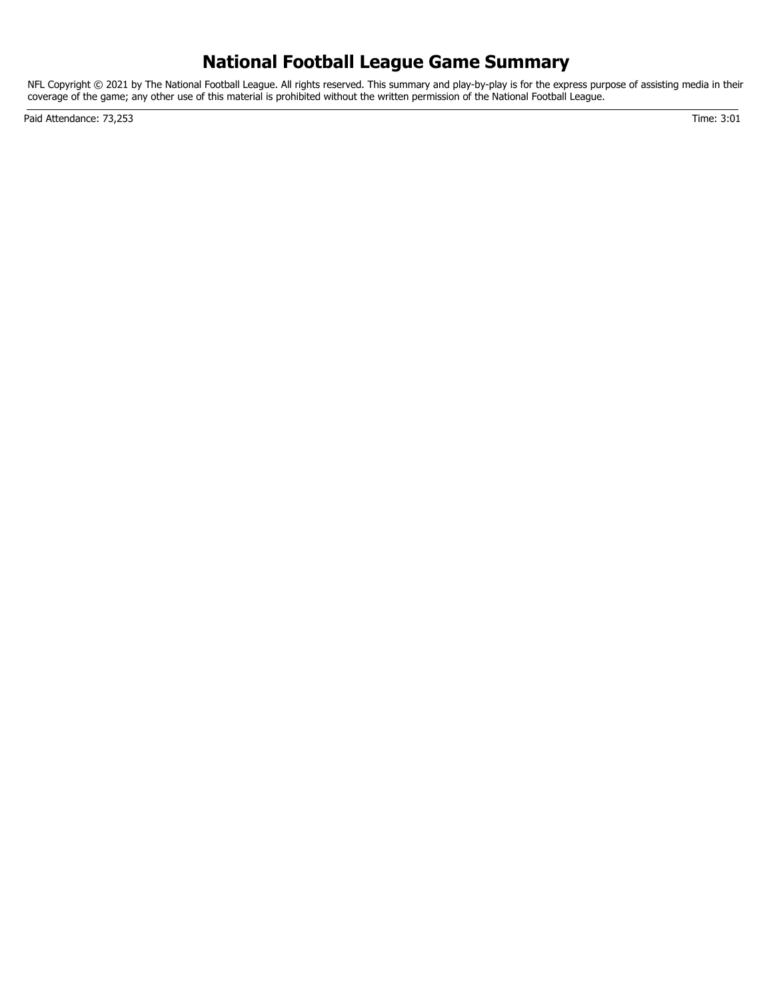## **National Football League Game Summary**

NFL Copyright © 2021 by The National Football League. All rights reserved. This summary and play-by-play is for the express purpose of assisting media in their coverage of the game; any other use of this material is prohibited without the written permission of the National Football League.

Paid Attendance: 73,253 Time: 3:01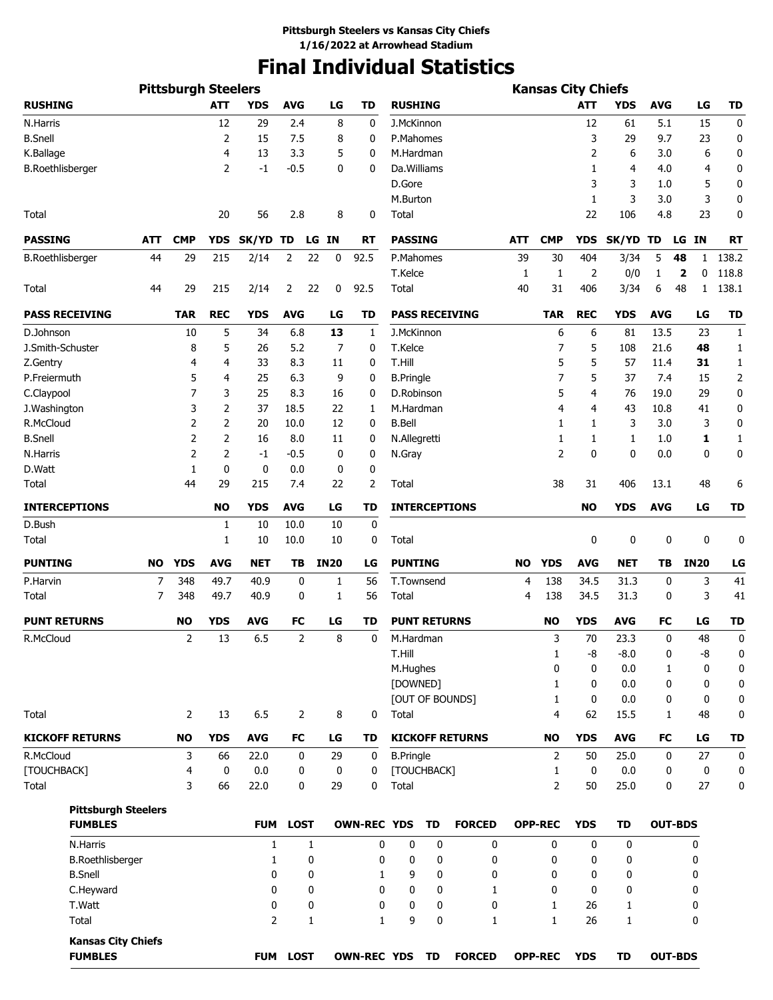# **Final Individual Statistics**

|                            |           |                            |            |                |                 | <b>Kansas City Chiefs</b> |                    |                      |           |                        |           |                |              |              |                |                   |              |
|----------------------------|-----------|----------------------------|------------|----------------|-----------------|---------------------------|--------------------|----------------------|-----------|------------------------|-----------|----------------|--------------|--------------|----------------|-------------------|--------------|
| <b>RUSHING</b>             |           | <b>Pittsburgh Steelers</b> | <b>ATT</b> | <b>YDS</b>     | <b>AVG</b>      | LG                        | <b>TD</b>          | <b>RUSHING</b>       |           |                        |           |                | <b>ATT</b>   | <b>YDS</b>   | <b>AVG</b>     | LG                | <b>TD</b>    |
| N.Harris                   |           |                            | 12         | 29             | 2.4             | 8                         | 0                  | J.McKinnon           |           |                        |           |                | 12           | 61           | 5.1            | 15                | 0            |
| <b>B.Snell</b>             |           |                            | 2          | 15             | 7.5             | 8                         | 0                  | P.Mahomes            |           |                        |           |                | 3            | 29           | 9.7            | 23                | 0            |
| K.Ballage                  |           |                            | 4          | 13             | 3.3             | 5                         | 0                  | M.Hardman            |           |                        |           |                | 2            | 6            | 3.0            | 6                 | 0            |
| <b>B.Roethlisberger</b>    |           |                            | 2          | $-1$           | $-0.5$          | 0                         | 0                  | Da.Williams          |           |                        |           |                | 1            | 4            | 4.0            | $\overline{4}$    | 0            |
|                            |           |                            |            |                |                 |                           |                    | D.Gore               |           |                        |           |                | 3            | 3            | 1.0            | 5                 | 0            |
|                            |           |                            |            |                |                 |                           |                    | M.Burton             |           |                        |           |                | 1            | 3            | 3.0            | 3                 | 0            |
| Total                      |           |                            | 20         | 56             | 2.8             | 8                         | 0                  | Total                |           |                        |           |                | 22           | 106          | 4.8            | 23                | 0            |
| <b>PASSING</b>             | ATT       | <b>CMP</b>                 | <b>YDS</b> | SK/YD          | TD              | LG IN                     | <b>RT</b>          | <b>PASSING</b>       |           |                        | ATT       | <b>CMP</b>     | <b>YDS</b>   | <b>SK/YD</b> | TD             | LG IN             | <b>RT</b>    |
| <b>B.Roethlisberger</b>    | 44        | 29                         | 215        | 2/14           | 2               | 22<br>0                   | 92.5               | P.Mahomes            |           |                        | 39        | 30             | 404          | 3/34         | 5              | 48<br>1           | 138.2        |
|                            |           |                            |            |                |                 |                           |                    | T.Kelce              |           |                        | 1         | 1              | 2            | 0/0          | 1              | 0<br>$\mathbf{2}$ | 118.8        |
| Total                      | 44        | 29                         | 215        | 2/14           | 2               | 22<br>0                   | 92.5               | Total                |           |                        | 40        | 31             | 406          | 3/34         | 6              | 48<br>1           | 138.1        |
| <b>PASS RECEIVING</b>      |           | <b>TAR</b>                 | <b>REC</b> | <b>YDS</b>     | <b>AVG</b>      | LG                        | TD                 |                      |           | <b>PASS RECEIVING</b>  |           | <b>TAR</b>     | <b>REC</b>   | <b>YDS</b>   | <b>AVG</b>     | LG                | <b>TD</b>    |
| D.Johnson                  |           | 10                         | 5          | 34             | 6.8             | 13                        | 1                  | J.McKinnon           |           |                        |           | 6              | 6            | 81           | 13.5           | 23                | 1            |
| J.Smith-Schuster           |           | 8                          | 5          | 26             | 5.2             | 7                         | 0                  | T.Kelce              |           |                        |           | 7              | 5            | 108          | 21.6           | 48                | 1            |
| Z.Gentry                   |           | 4                          | 4          | 33             | 8.3             | 11                        | 0                  | T.Hill               |           |                        |           | 5              | 5            | 57           | 11.4           | 31                | 1            |
| P.Freiermuth               |           | 5                          | 4          | 25             | 6.3             | 9                         | 0                  | <b>B.Pringle</b>     |           |                        |           | 7              | 5            | 37           | 7.4            | 15                | 2            |
| C.Claypool                 |           | 7                          | 3          | 25             | 8.3             | 16                        | 0                  | D.Robinson           |           |                        |           | 5              | 4            | 76           | 19.0           | 29                | 0            |
| J.Washington               |           | 3                          | 2          | 37             | 18.5            | 22                        | 1                  | M.Hardman            |           |                        |           | 4              | 4            | 43           | 10.8           | 41                | 0            |
| R.McCloud                  |           | 2                          | 2          | 20             | 10.0            | 12                        | 0                  | <b>B.Bell</b>        |           |                        |           | 1              | 1            | 3            | 3.0            | 3                 | 0            |
| <b>B.Snell</b>             |           | 2                          | 2          | 16             | 8.0             | 11                        | 0                  | N.Allegretti         |           |                        |           | 1              | 1            | 1            | 1.0            | 1                 | $\mathbf{1}$ |
| N.Harris                   |           | 2                          | 2          | $-1$           | $-0.5$          | 0                         | 0                  | N.Gray               |           |                        |           | 2              | 0            | 0            | 0.0            | 0                 | 0            |
| D.Watt                     |           |                            | 0          |                | 0.0             |                           | 0                  |                      |           |                        |           |                |              |              |                |                   |              |
|                            |           | 1                          |            | 0              |                 | 0                         |                    | Total                |           |                        |           |                |              |              |                |                   |              |
| Total                      |           | 44                         | 29         | 215            | 7.4             | 22                        | 2                  | <b>INTERCEPTIONS</b> |           |                        |           | 38             | 31           | 406          | 13.1           | 48                | 6            |
| <b>INTERCEPTIONS</b>       |           |                            | <b>NO</b>  | <b>YDS</b>     | <b>AVG</b>      | LG                        | TD                 |                      |           |                        |           |                | <b>NO</b>    | <b>YDS</b>   | <b>AVG</b>     | LG                | <b>TD</b>    |
| D.Bush                     |           |                            | 1          | 10             | 10.0            | 10                        | 0                  |                      |           |                        |           |                |              |              |                |                   |              |
| Total                      |           |                            | 1          | 10             | 10.0            | 10                        | 0                  | Total                |           |                        |           |                | 0            | 0            | 0              | 0                 | 0            |
| <b>PUNTING</b>             | <b>NO</b> | <b>YDS</b>                 | <b>AVG</b> | <b>NET</b>     | TB              | <b>IN20</b>               | LG                 | <b>PUNTING</b>       |           |                        | <b>NO</b> | <b>YDS</b>     | <b>AVG</b>   | <b>NET</b>   | ΤB             | <b>IN20</b>       | LG           |
| P.Harvin                   | 7         | 348                        | 49.7       | 40.9           | 0               | 1                         | 56                 | T.Townsend           |           |                        | 4         | 138            | 34.5         | 31.3         | 0              | 3                 | 41           |
| Total                      | 7         | 348                        | 49.7       | 40.9           | 0               | 1                         | 56                 | Total                |           |                        | 4         | 138            | 34.5         | 31.3         | 0              | 3                 | 41           |
| <b>PUNT RETURNS</b>        |           | <b>NO</b>                  | <b>YDS</b> | AVG            | FC              | LG                        | TD                 | <b>PUNT RETURNS</b>  |           |                        |           | <b>NO</b>      | <b>YDS</b>   | <b>AVG</b>   | FC             | LG                | <b>TD</b>    |
| R.McCloud                  |           | $\overline{2}$             | 13         | 6.5            | $\overline{2}$  | 8                         | 0                  | M.Hardman            |           |                        |           | 3              | 70           | 23.3         | 0              | 48                | 0            |
|                            |           |                            |            |                |                 |                           |                    | T.Hill               |           |                        |           | $\mathbf{1}$   | -8           | $-8.0$       | 0              | -8                | 0            |
|                            |           |                            |            |                |                 |                           |                    | M.Hughes             |           |                        |           | 0              | $\mathbf{0}$ | 0.0          | $\mathbf{1}$   | 0                 | 0            |
|                            |           |                            |            |                |                 |                           |                    | [DOWNED]             |           |                        |           | $\mathbf{1}$   | $\mathbf{0}$ | 0.0          | 0              | 0                 | 0            |
|                            |           |                            |            |                |                 |                           |                    |                      |           | [OUT OF BOUNDS]        |           | $\mathbf{1}$   | $\mathbf{0}$ | 0.0          | 0              | 0                 | 0            |
| Total                      |           | $\overline{2}$             | 13         | 6.5            | $\overline{2}$  | 8                         | 0                  | Total                |           |                        |           | $\overline{4}$ | 62           | 15.5         | 1              | 48                | 0            |
| <b>KICKOFF RETURNS</b>     |           | <b>NO</b>                  | <b>YDS</b> | <b>AVG</b>     | FC              | LG                        | TD                 |                      |           | <b>KICKOFF RETURNS</b> |           | <b>NO</b>      | <b>YDS</b>   | <b>AVG</b>   | FC             | LG                | <b>TD</b>    |
| R.McCloud                  |           | 3                          | 66         | 22.0           | 0               | 29                        | 0                  | <b>B.Pringle</b>     |           |                        |           | 2              | 50           | 25.0         | 0              | 27                | 0            |
| [TOUCHBACK]                |           | 4                          | 0          | 0.0            | 0               | 0                         | 0                  | [TOUCHBACK]          |           |                        |           | 1              | $\mathbf{0}$ | 0.0          | 0              | 0                 | 0            |
| Total                      |           | 3                          | 66         | 22.0           | 0               | 29                        | 0                  | Total                |           |                        |           | $\overline{2}$ | 50           | 25.0         | 0              | 27                | 0            |
| <b>Pittsburgh Steelers</b> |           |                            |            |                |                 |                           |                    |                      |           |                        |           |                |              |              |                |                   |              |
| <b>FUMBLES</b>             |           |                            |            | <b>FUM</b>     | <b>LOST</b>     |                           | <b>OWN-REC YDS</b> |                      | TD        | <b>FORCED</b>          |           | <b>OPP-REC</b> | <b>YDS</b>   | <b>TD</b>    | <b>OUT-BDS</b> |                   |              |
| N.Harris                   |           |                            |            | 1              |                 | 1                         | 0                  | $\mathbf 0$          | 0         | $\mathbf 0$            |           | 0              | 0            | $\mathbf 0$  |                | 0                 |              |
| <b>B.Roethlisberger</b>    |           |                            |            | 1              |                 | 0                         | 0                  | 0                    | 0         | 0                      |           | 0              | 0            | 0            |                | 0                 |              |
| <b>B.Snell</b>             |           |                            |            | 0              |                 | 0                         | 1                  | 9                    | 0         | 0                      |           | 0              | 0            | 0            |                | 0                 |              |
| C.Heyward                  |           |                            |            | 0              |                 | 0                         | 0                  | 0                    | 0         | 1                      |           | 0              | 0            | 0            |                | 0                 |              |
| T.Watt                     |           |                            |            | 0              |                 | 0                         | 0                  | 0                    | 0         | 0                      |           | 1              | 26           | 1            |                | 0                 |              |
| Total                      |           |                            |            | $\overline{2}$ |                 | 1                         | $\mathbf{1}$       | 9                    | 0         | 1                      |           | $\mathbf{1}$   | 26           | $\mathbf{1}$ |                | 0                 |              |
| <b>Kansas City Chiefs</b>  |           |                            |            |                |                 |                           |                    |                      |           |                        |           |                |              |              |                |                   |              |
| <b>FUMBLES</b>             |           |                            |            |                | <b>FUM LOST</b> |                           | <b>OWN-REC YDS</b> |                      | <b>TD</b> | <b>FORCED</b>          |           | <b>OPP-REC</b> | <b>YDS</b>   | TD           | <b>OUT-BDS</b> |                   |              |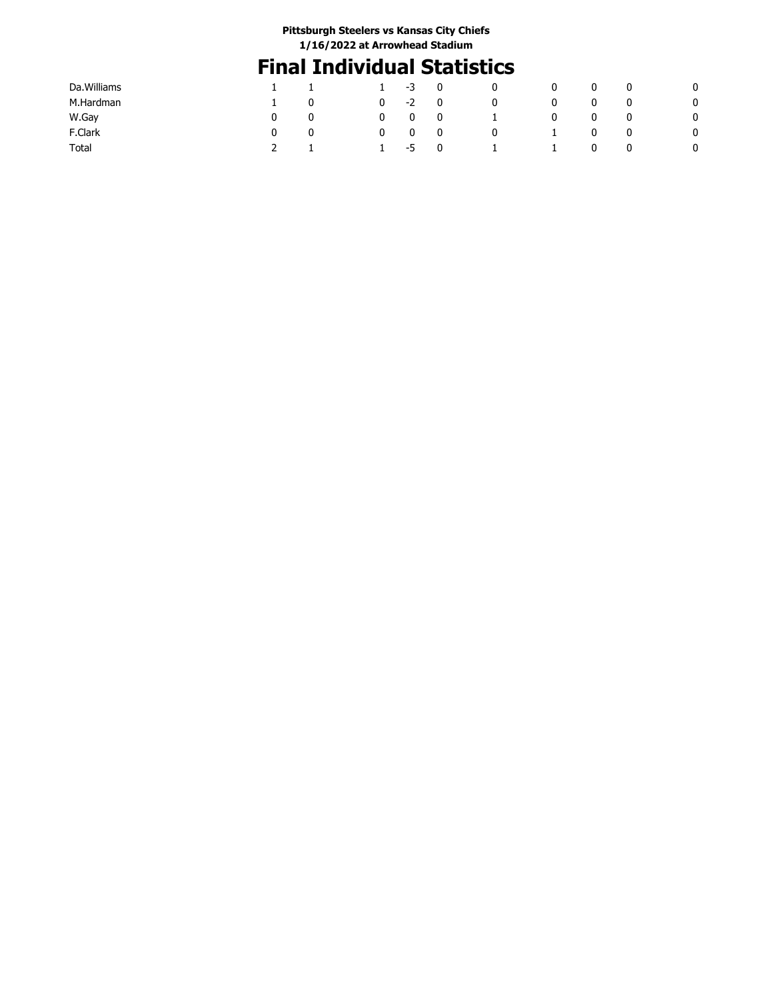# **Final Individual Statistics**

| Da. Williams |   | 1 | -3   | 0           | 0 | 0 | 0 | -0 |
|--------------|---|---|------|-------------|---|---|---|----|
| M.Hardman    | 0 | 0 | $-2$ | 0           | 0 | 0 | 0 | 0  |
| W.Gay        | 0 | 0 | 0    | 0           |   | 0 | 0 | 0  |
| F.Clark      | 0 | 0 | 0    | 0           | 0 |   | 0 | 0  |
| Total        |   |   | -5   | $\mathbf 0$ |   | 0 | 0 |    |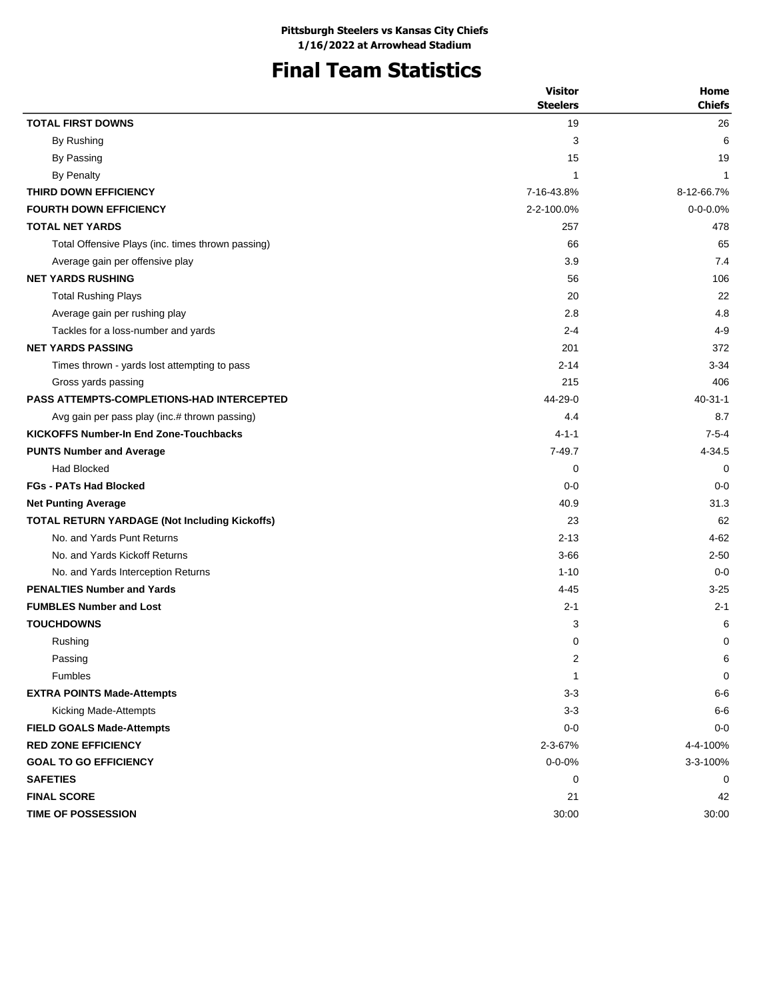## **Final Team Statistics**

|                                                      | <b>Visitor</b>  | Home           |
|------------------------------------------------------|-----------------|----------------|
|                                                      | <b>Steelers</b> | <b>Chiefs</b>  |
| <b>TOTAL FIRST DOWNS</b>                             | 19              | 26             |
| By Rushing                                           | 3               | 6              |
| By Passing                                           | 15              | 19             |
| <b>By Penalty</b>                                    | $\mathbf{1}$    | 1              |
| THIRD DOWN EFFICIENCY                                | 7-16-43.8%      | 8-12-66.7%     |
| <b>FOURTH DOWN EFFICIENCY</b>                        | 2-2-100.0%      | $0 - 0 - 0.0%$ |
| <b>TOTAL NET YARDS</b>                               | 257             | 478            |
| Total Offensive Plays (inc. times thrown passing)    | 66              | 65             |
| Average gain per offensive play                      | 3.9             | 7.4            |
| <b>NET YARDS RUSHING</b>                             | 56              | 106            |
| <b>Total Rushing Plays</b>                           | 20              | 22             |
| Average gain per rushing play                        | 2.8             | 4.8            |
| Tackles for a loss-number and yards                  | $2 - 4$         | $4 - 9$        |
| <b>NET YARDS PASSING</b>                             | 201             | 372            |
| Times thrown - yards lost attempting to pass         | $2 - 14$        | $3 - 34$       |
| Gross yards passing                                  | 215             | 406            |
| <b>PASS ATTEMPTS-COMPLETIONS-HAD INTERCEPTED</b>     | 44-29-0         | $40 - 31 - 1$  |
| Avg gain per pass play (inc.# thrown passing)        | 4.4             | 8.7            |
| <b>KICKOFFS Number-In End Zone-Touchbacks</b>        | $4 - 1 - 1$     | $7 - 5 - 4$    |
| <b>PUNTS Number and Average</b>                      | $7 - 49.7$      | 4-34.5         |
| <b>Had Blocked</b>                                   | 0               | 0              |
| <b>FGs - PATs Had Blocked</b>                        | $0 - 0$         | $0 - 0$        |
| <b>Net Punting Average</b>                           | 40.9            | 31.3           |
| <b>TOTAL RETURN YARDAGE (Not Including Kickoffs)</b> | 23              | 62             |
| No. and Yards Punt Returns                           | $2 - 13$        | $4 - 62$       |
| No. and Yards Kickoff Returns                        | $3 - 66$        | $2 - 50$       |
| No. and Yards Interception Returns                   | $1 - 10$        | $0 - 0$        |
| <b>PENALTIES Number and Yards</b>                    | $4 - 45$        | $3 - 25$       |
| <b>FUMBLES Number and Lost</b>                       | $2 - 1$         | $2 - 1$        |
| <b>TOUCHDOWNS</b>                                    | 3               | 6              |
| Rushing                                              | 0               | 0              |
| Passing                                              | 2               | 6              |
| Fumbles                                              | $\mathbf{1}$    | 0              |
| <b>EXTRA POINTS Made-Attempts</b>                    | $3 - 3$         | $6-6$          |
| Kicking Made-Attempts                                | $3 - 3$         | $6-6$          |
| <b>FIELD GOALS Made-Attempts</b>                     | $0-0$           | $0 - 0$        |
| <b>RED ZONE EFFICIENCY</b>                           | 2-3-67%         | 4-4-100%       |
| <b>GOAL TO GO EFFICIENCY</b>                         | $0 - 0 - 0%$    | 3-3-100%       |
| <b>SAFETIES</b>                                      | 0               | 0              |
| <b>FINAL SCORE</b>                                   | 21              | 42             |
| TIME OF POSSESSION                                   | 30:00           | 30:00          |
|                                                      |                 |                |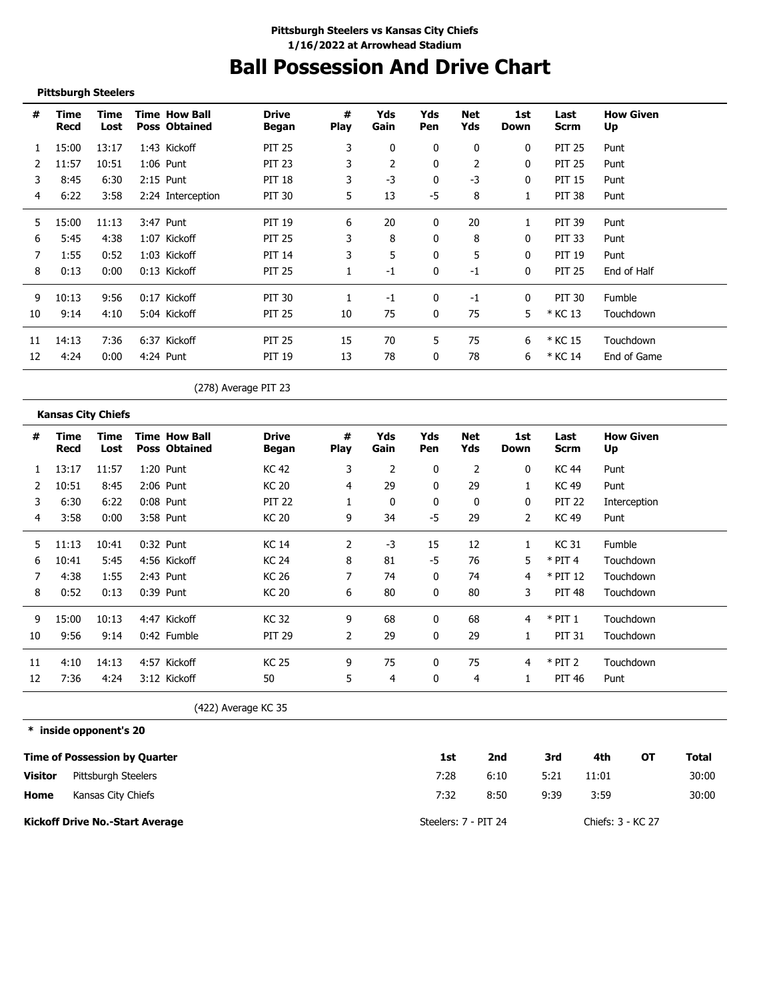# **Ball Possession And Drive Chart**

#### **Pittsburgh Steelers**

| #  | Time<br>Recd | Time<br>Lost | <b>Time How Ball</b><br><b>Poss Obtained</b> | <b>Drive</b><br>Began | #<br><b>Play</b> | Yds<br>Gain | Yds<br><b>Pen</b> | Net<br>Yds | 1st<br>Down  | Last<br><b>Scrm</b> | <b>How Given</b><br>Up |
|----|--------------|--------------|----------------------------------------------|-----------------------|------------------|-------------|-------------------|------------|--------------|---------------------|------------------------|
|    | 15:00        | 13:17        | 1:43 Kickoff                                 | <b>PIT 25</b>         | 3                | 0           | 0                 | 0          | $\mathbf{0}$ | <b>PIT 25</b>       | Punt                   |
|    | 11:57        | 10:51        | $1:06$ Punt                                  | <b>PIT 23</b>         |                  | 2           | 0                 | 2          | 0            | <b>PIT 25</b>       | Punt                   |
| 3  | 8:45         | 6:30         | 2:15 Punt                                    | <b>PIT 18</b>         | 3                | $-3$        | 0                 | $-3$       | 0            | PIT 15              | Punt                   |
| 4  | 6:22         | 3:58         | 2:24 Interception                            | <b>PIT 30</b>         | 5                | 13          | -5                | 8          |              | PIT 38              | Punt                   |
| 5  | 15:00        | 11:13        | 3:47 Punt                                    | <b>PIT 19</b>         | 6                | 20          | 0                 | 20         | 1            | PIT 39              | Punt                   |
| 6  | 5:45         | 4:38         | 1:07 Kickoff                                 | <b>PIT 25</b>         | 3                | 8           | 0                 | 8          | 0            | PIT 33              | Punt                   |
| 7  | 1:55         | 0:52         | 1:03 Kickoff                                 | <b>PIT 14</b>         | 3                | 5           | 0                 | 5          | $\mathbf{0}$ | <b>PIT 19</b>       | Punt                   |
| 8  | 0:13         | 0:00         | $0:13$ Kickoff                               | <b>PIT 25</b>         |                  | $-1$        | 0                 | -1         | $\mathbf{0}$ | <b>PIT 25</b>       | End of Half            |
| 9  | 10:13        | 9:56         | 0:17 Kickoff                                 | <b>PIT 30</b>         |                  | $-1$        | $\mathbf{0}$      | $-1$       | $\mathbf{0}$ | PIT 30              | Fumble                 |
| 10 | 9:14         | 4:10         | 5:04 Kickoff                                 | <b>PIT 25</b>         | 10               | 75          | $\Omega$          | 75         | 5            | * KC 13             | Touchdown              |
| 11 | 14:13        | 7:36         | 6:37 Kickoff                                 | <b>PIT 25</b>         | 15               | 70          | 5                 | 75         | 6            | * KC 15             | Touchdown              |
| 12 | 4:24         | 0:00         | 4:24 Punt                                    | <b>PIT 19</b>         | 13               | 78          | 0                 | 78         | 6            | * KC 14             | End of Game            |

(278) Average PIT 23

#### **Kansas City Chiefs**

| <b>How Given</b> |
|------------------|
|                  |
|                  |
| Interception     |
|                  |
|                  |
| Touchdown        |
| Touchdown        |
| Touchdown        |
| Touchdown        |
| Touchdown        |
| Touchdown        |
|                  |
|                  |

(422) Average KC 35

**\* inside opponent's 20**

|                | Time of Possession by Quarter          | 1st                  | 2nd  | 3rd  | 4th               | ΟТ | Total |
|----------------|----------------------------------------|----------------------|------|------|-------------------|----|-------|
| <b>Visitor</b> | Pittsburgh Steelers                    | 7:28                 | 6:10 | 5:21 | 11:01             |    | 30:00 |
| Home           | Kansas City Chiefs                     | 7:32                 | 8:50 | 9:39 | 3:59              |    | 30:00 |
|                | <b>Kickoff Drive No.-Start Average</b> | Steelers: 7 - PIT 24 |      |      | Chiefs: 3 - KC 27 |    |       |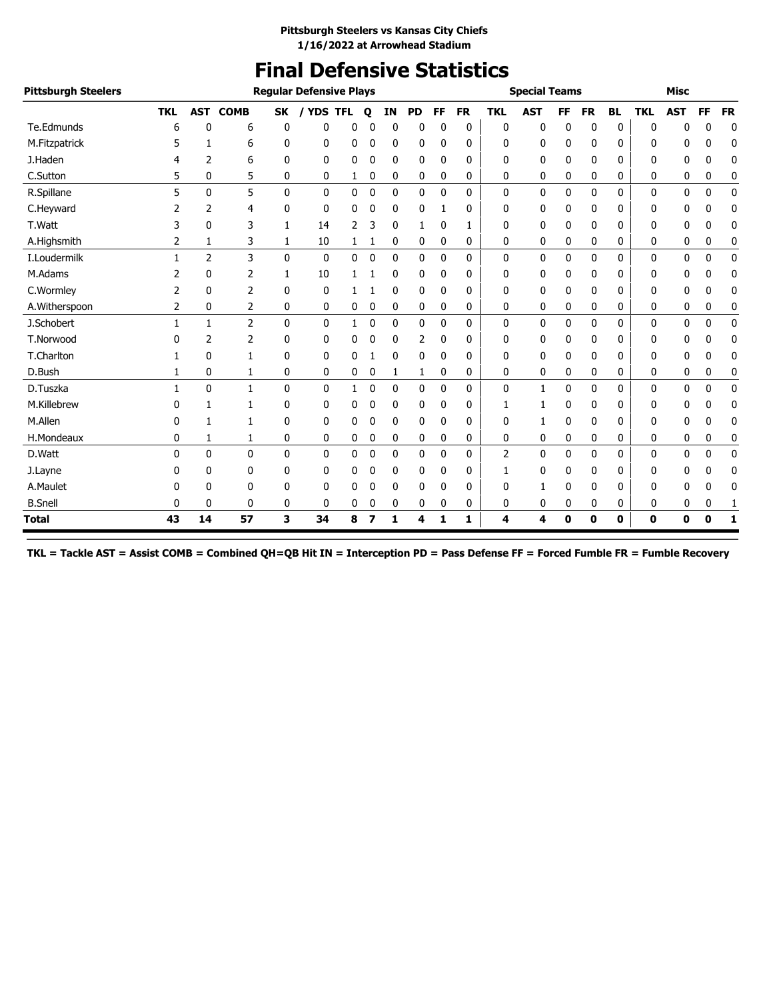# **Final Defensive Statistics**

| <b>Pittsburgh Steelers</b> |              |              |                 |              | <b>Reqular Defensive Plays</b> |                |   |              |           |           |           |            | <b>Special Teams</b> |    |             |           |             | <b>Misc</b> |             |             |
|----------------------------|--------------|--------------|-----------------|--------------|--------------------------------|----------------|---|--------------|-----------|-----------|-----------|------------|----------------------|----|-------------|-----------|-------------|-------------|-------------|-------------|
|                            | <b>TKL</b>   |              | <b>AST COMB</b> | <b>SK</b>    |                                | <b>YDS TFL</b> | Q | <b>IN</b>    | <b>PD</b> | <b>FF</b> | <b>FR</b> | <b>TKL</b> | <b>AST</b>           | FF | <b>FR</b>   | <b>BL</b> | <b>TKL</b>  | <b>AST</b>  | <b>FF</b>   | <b>FR</b>   |
| Te.Edmunds                 | 6            | 0            | 6               | 0            | 0                              | 0              | 0 | 0            | 0         | 0         | 0         | 0          | 0                    | 0  | 0           | 0         | $\Omega$    | 0           | 0           | $\mathbf 0$ |
| M.Fitzpatrick              | 5            | 1            | 6               | 0            | 0                              | 0              | 0 | 0            | 0         | 0         | 0         | 0          | 0                    | 0  | 0           | 0         | 0           | 0           | 0           | 0           |
| J.Haden                    | 4            | 2            | 6               | $\Omega$     | 0                              | 0              | 0 | $\mathbf{0}$ | 0         | 0         | 0         | 0          | 0                    | 0  | 0           | 0         | 0           | 0           | 0           | 0           |
| C.Sutton                   | 5            | 0            | 5               | 0            | 0                              | 1              | 0 | 0            | 0         | 0         | 0         | 0          | 0                    | 0  | 0           | 0         | 0           | 0           | 0           | 0           |
| R.Spillane                 | 5            | 0            | 5               | $\Omega$     | 0                              | 0              | 0 | $\mathbf{0}$ | 0         | 0         | 0         | 0          | $\mathbf{0}$         | 0  | 0           | 0         | 0           | 0           | 0           | $\mathbf 0$ |
| C.Heyward                  | 2            | 2            | 4               | 0            | $\mathbf{0}$                   | 0              | 0 | 0            | 0         |           | 0         | 0          | 0                    | 0  | 0           | 0         | 0           | 0           | n           | 0           |
| T.Watt                     | 3            | 0            | 3               | $\mathbf{1}$ | 14                             | 2              | 3 | $\mathbf{0}$ | 1         | 0         | 1         | 0          | 0                    | 0  | 0           | 0         | 0           | 0           | 0           | 0           |
| A.Highsmith                | 2            | 1            | 3               | 1            | 10                             | 1              | 1 | 0            | 0         | 0         | 0         | 0          | 0                    | 0  | 0           | 0         | 0           | 0           | 0           | 0           |
| I.Loudermilk               | 1            | 2            | 3               | $\mathbf{0}$ | $\mathbf{0}$                   | 0              | 0 | 0            | 0         | 0         | 0         | 0          | 0                    | 0  | 0           | 0         | 0           | 0           | 0           | 0           |
| M.Adams                    | 2            | 0            | 2               | $\mathbf{1}$ | 10                             |                |   | 0            | 0         | 0         | 0         | 0          | 0                    | 0  | 0           | 0         | 0           | 0           | 0           | 0           |
| C.Wormley                  | 2            | 0            | 2               | 0            | $\mathbf{0}$                   | 1              |   | $\mathbf{0}$ | 0         | 0         | 0         | 0          | 0                    | 0  | 0           | 0         | 0           | 0           | 0           | 0           |
| A.Witherspoon              | 2            | 0            | 2               | 0            | 0                              | 0              | 0 | $\mathbf 0$  | 0         | 0         | 0         | 0          | 0                    | 0  | 0           | 0         | 0           | 0           | 0           | 0           |
| J.Schobert                 | 1            | $\mathbf{1}$ | $\overline{2}$  | $\mathbf{0}$ | 0                              | 1              | 0 | $\mathbf{0}$ | 0         | 0         | 0         | 0          | $\Omega$             | 0  | 0           | 0         | 0           | 0           | 0           | 0           |
| T.Norwood                  | n            | 2            | $\overline{2}$  | 0            | 0                              | 0              | 0 | 0            | 2         | 0         | 0         | 0          | 0                    | 0  | 0           | 0         | 0           | 0           | 0           | 0           |
| T.Charlton                 |              | 0            | $\mathbf{1}$    | 0            | 0                              | 0              |   | 0            | 0         | 0         | 0         | 0          | 0                    | 0  | 0           | 0         | 0           | 0           | 0           | 0           |
| D.Bush                     | 1            | 0            | 1               | 0            | 0                              | 0              | 0 | 1            | 1         | 0         | 0         | 0          | 0                    | 0  | 0           | 0         | 0           | 0           | 0           | 0           |
| D.Tuszka                   | 1            | 0            | $\mathbf{1}$    | $\mathbf{0}$ | 0                              | 1              | 0 | 0            | 0         | 0         | 0         | $\Omega$   | 1                    | 0  | 0           | 0         | 0           | 0           | 0           | 0           |
| M.Killebrew                | n            | 1            | 1               | 0            | 0                              | 0              | 0 | 0            | 0         | 0         | 0         | 1          | 1                    | 0  | 0           | 0         | 0           | 0           | 0           | 0           |
| M.Allen                    | 0            | 1            | $\mathbf{1}$    | 0            | 0                              | 0              | 0 | 0            | 0         | 0         | 0         | 0          | 1                    | 0  | 0           | 0         | 0           | 0           | 0           | 0           |
| H.Mondeaux                 | 0            | 1            | 1               | 0            | 0                              | 0              | 0 | 0            | 0         | 0         | 0         | 0          | 0                    | 0  | 0           | 0         | 0           | 0           | 0           | 0           |
| D.Watt                     | $\mathbf{0}$ | 0            | 0               | $\mathbf{0}$ | 0                              | 0              | 0 | 0            | 0         | 0         | 0         | 2          | 0                    | 0  | 0           | 0         | 0           | 0           | 0           | 0           |
| J.Layne                    | 0            | 0            | 0               | 0            | 0                              | 0              | 0 | 0            | 0         | 0         | 0         | 1          | 0                    | 0  | 0           | 0         | 0           | 0           | 0           | 0           |
| A.Maulet                   | n            | 0            | 0               | $\Omega$     | 0                              | 0              | 0 | 0            | 0         | 0         | 0         | 0          | 1                    | 0  | 0           | 0         | 0           | 0           | 0           | 0           |
| <b>B.Snell</b>             | 0            | 0            | 0               | 0            | 0                              | 0              | 0 | 0            | 0         | 0         | 0         | 0          | 0                    | 0  | 0           | 0         | 0           | 0           | 0           | 1           |
| <b>Total</b>               | 43           | 14           | 57              | 3            | 34                             | 8              | 7 | 1            | 4         | 1         | 1         | 4          | 4                    | 0  | $\mathbf 0$ | 0         | $\mathbf 0$ | 0           | $\mathbf 0$ | 1           |

**TKL = Tackle AST = Assist COMB = Combined QH=QB Hit IN = Interception PD = Pass Defense FF = Forced Fumble FR = Fumble Recovery**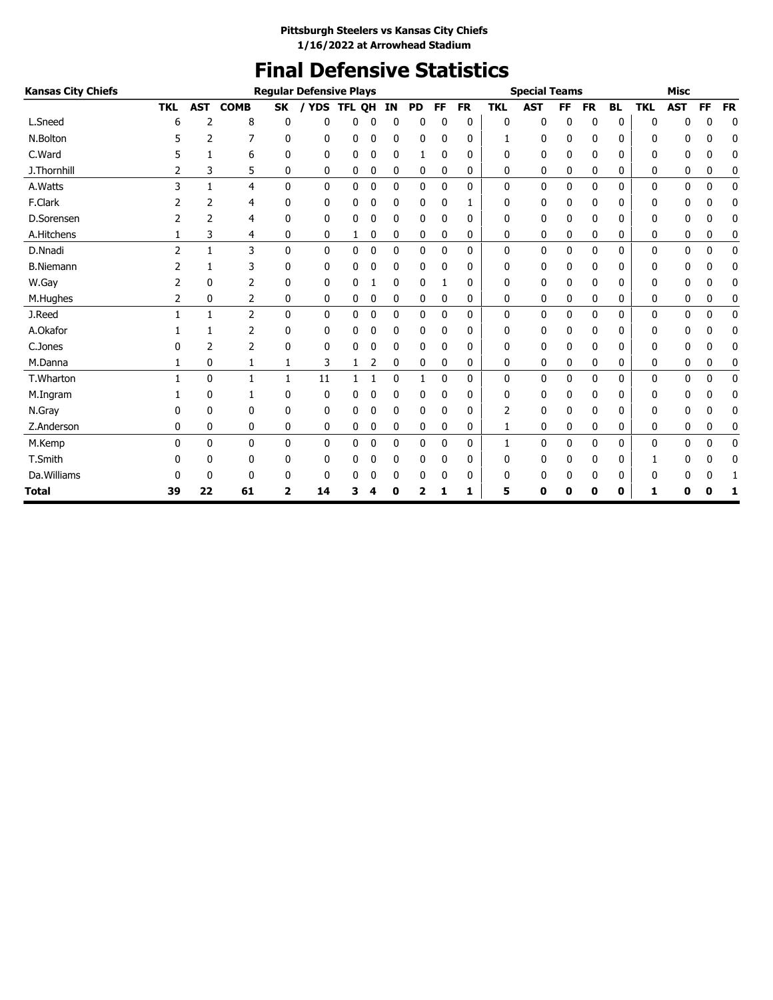# **Final Defensive Statistics**

| <b>Kansas City Chiefs</b> |                |            |                |              | <b>Regular Defensive Plays</b> |               |   |    |           |              |           |            | <b>Special Teams</b> |           |              |              |            | <b>Misc</b> |           |           |
|---------------------------|----------------|------------|----------------|--------------|--------------------------------|---------------|---|----|-----------|--------------|-----------|------------|----------------------|-----------|--------------|--------------|------------|-------------|-----------|-----------|
|                           | <b>TKL</b>     | <b>AST</b> | <b>COMB</b>    | <b>SK</b>    | <b>YDS</b>                     | <b>TFL OH</b> |   | IN | <b>PD</b> | <b>FF</b>    | <b>FR</b> | <b>TKL</b> | <b>AST</b>           | <b>FF</b> | <b>FR</b>    | <b>BL</b>    | <b>TKL</b> | <b>AST</b>  | <b>FF</b> | <b>FR</b> |
| L.Sneed                   | 6              | 2          | 8              | 0            | 0                              | 0             | 0 | 0  | 0         | ŋ            | 0         | 0          | 0                    | 0         | 0            | $\mathbf{0}$ | 0          | 0           | 0         | 0         |
| N.Bolton                  |                | 2          | 7              | 0            | 0                              | 0             | 0 | 0  | 0         | 0            | 0         | 1          | 0                    | 0         | 0            | 0            | 0          | 0           | 0         | 0         |
| C.Ward                    | 5              | 1          | 6              | 0            | 0                              | 0             | 0 | 0  | 1         | 0            | 0         | 0          | 0                    | 0         | 0            | 0            | 0          | 0           | 0         | 0         |
| J.Thornhill               |                | 3          | 5              | $\mathbf{0}$ | 0                              | 0             | 0 | 0  | 0         | 0            | 0         | 0          | 0                    | 0         | 0            | 0            | 0          | 0           | 0         | 0         |
| A.Watts                   | 3              | 1          | $\overline{4}$ | $\mathbf{0}$ | 0                              | 0             | 0 | 0  | 0         | 0            | 0         | 0          | 0                    | 0         | 0            | 0            | 0          | 0           | 0         | 0         |
| F.Clark                   |                | 2          | 4              | 0            | 0                              | 0             | 0 | 0  | 0         | 0            |           | 0          | 0                    | 0         | 0            | 0            | 0          | 0           | 0         | 0         |
| D.Sorensen                | 2              | 2          | 4              | 0            | 0                              | 0             | 0 | 0  | 0         | 0            | 0         | 0          | 0                    | 0         | 0            | 0            | 0          | 0           | 0         | 0         |
| A.Hitchens                | 1              | 3          | 4              | 0            | 0                              | 1             | 0 | 0  | 0         | 0            | 0         | 0          | 0                    | 0         | 0            | 0            | 0          | 0           | 0         | 0         |
| D.Nnadi                   | $\overline{2}$ | 1          | 3              | $\mathbf{0}$ | $\mathbf{0}$                   | 0             | 0 | 0  | 0         | $\mathbf{0}$ | 0         | 0          | 0                    | 0         | $\mathbf{0}$ | 0            | 0          | 0           | 0         | 0         |
| <b>B.Niemann</b>          |                | 1          | 3              | 0            | 0                              | 0             | 0 | 0  | 0         | 0            | 0         | 0          | 0                    | 0         | 0            | 0            | 0          | 0           | 0         | 0         |
| W.Gay                     |                | 0          | 2              | 0            | 0                              | 0             |   | 0  | 0         |              | 0         | 0          | 0                    | 0         | 0            | 0            | 0          | 0           | 0         | 0         |
| M.Hughes                  | 2              | 0          | 2              | 0            | 0                              | 0             | 0 | 0  | 0         | 0            | 0         | 0          | 0                    | 0         | 0            | 0            | 0          | 0           | 0         | 0         |
| J.Reed                    |                | 1          | 2              | $\mathbf{0}$ | $\mathbf{0}$                   | 0             | 0 | 0  | 0         | 0            | 0         | 0          | 0                    | 0         | 0            | $\mathbf{0}$ | 0          | 0           | 0         | 0         |
| A.Okafor                  |                | 1          | 2              | 0            | 0                              | 0             | 0 | 0  | 0         | 0            | 0         | 0          | 0                    | 0         | 0            | 0            | 0          | 0           | 0         | 0         |
| C.Jones                   |                | 2          | $\overline{2}$ | 0            | 0                              | 0             | 0 | 0  | 0         | 0            | 0         | 0          | 0                    | 0         | 0            | 0            | 0          | 0           | 0         | 0         |
| M.Danna                   |                | 0          | 1              | 1            | 3                              | 1             | 2 | 0  | 0         | 0            | 0         | 0          | 0                    | 0         | 0            | 0            | 0          | 0           | 0         | 0         |
| T.Wharton                 |                | 0          | $\mathbf{1}$   | $\mathbf{1}$ | 11                             | 1             |   | 0  | 1         | $\mathbf{0}$ | 0         | 0          | 0                    | 0         | 0            | 0            | 0          | 0           | 0         | 0         |
| M.Ingram                  |                | 0          | 1              | 0            | 0                              | 0             | 0 | 0  | 0         | 0            | 0         | 0          | 0                    | 0         | 0            | 0            | 0          | 0           | 0         | 0         |
| N.Gray                    | 0              | 0          | 0              | 0            | 0                              | 0             | 0 | 0  | 0         | 0            | 0         | 2          | 0                    | 0         | 0            | 0            | 0          | 0           | 0         | 0         |
| Z.Anderson                | 0              | 0          | 0              | 0            | 0                              | 0             | 0 | 0  | 0         | 0            | 0         | 1          | 0                    | 0         | 0            | 0            | 0          | 0           | 0         | 0         |
| M.Kemp                    | 0              | 0          | $\mathbf{0}$   | $\mathbf{0}$ | $\mathbf{0}$                   | 0             | 0 | 0  | 0         | $\mathbf 0$  | 0         | 1          | 0                    | 0         | $\mathbf{0}$ | 0            | 0          | 0           | 0         | 0         |
| T.Smith                   |                | 0          | 0              | 0            | 0                              | 0             | 0 | 0  | 0         | 0            | 0         | 0          | 0                    | 0         | 0            | 0            | 1          | 0           | 0         | 0         |
| Da. Williams              |                | 0          | 0              | 0            | 0                              | 0             |   | 0  | 0         | 0            | 0         | 0          | 0                    | 0         | 0            | 0            | 0          | 0           | 0         | 1         |
| <b>Total</b>              | 39             | 22         | 61             | 2            | 14                             | 3             |   | 0  | 2         |              | 1         | 5          | 0                    | Ω         | 0            | 0            | 1          | 0           | Ω         | 1         |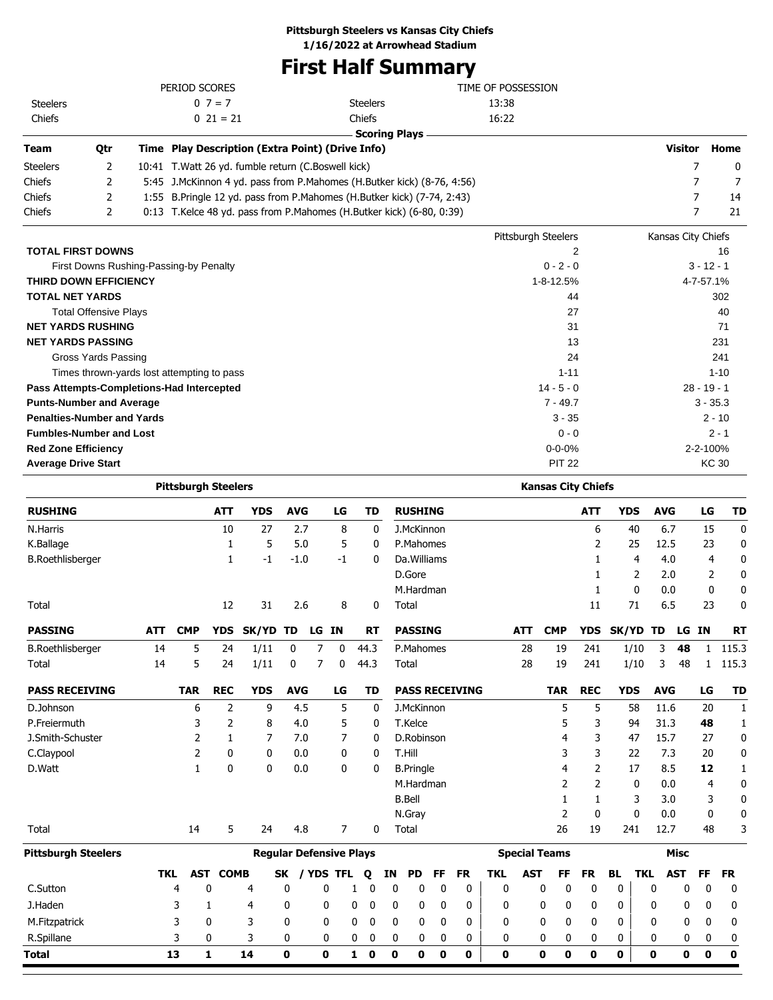### **Pittsburgh Steelers vs Kansas City Chiefs**

**1/16/2022 at Arrowhead Stadium**

# **First Half Summary**

|                          |     | PERIOD SCORES                                                               |                                                                           | TIME OF POSSESSION  |                    |      |
|--------------------------|-----|-----------------------------------------------------------------------------|---------------------------------------------------------------------------|---------------------|--------------------|------|
| <b>Steelers</b>          |     | 13:38                                                                       |                                                                           |                     |                    |      |
| Chiefs                   |     | $0\ 21 = 21$                                                                | Chiefs                                                                    | 16:22               |                    |      |
|                          |     |                                                                             | <b>Scoring Plays</b>                                                      |                     |                    |      |
| <b>Team</b>              | Qtr | Time Play Description (Extra Point) (Drive Info)                            |                                                                           |                     | <b>Visitor</b>     | Home |
| <b>Steelers</b>          | 2   | 10:41 T. Watt 26 yd. fumble return (C. Boswell kick)                        |                                                                           |                     |                    | 0    |
| <b>Chiefs</b>            |     |                                                                             | 5:45 J.McKinnon 4 yd. pass from P.Mahomes (H.Butker kick) (8-76, 4:56)    |                     |                    |      |
| <b>Chiefs</b>            |     |                                                                             | 1:55 B. Pringle 12 yd. pass from P. Mahomes (H. Butker kick) (7-74, 2:43) |                     |                    | 14   |
| <b>Chiefs</b>            |     | $0:13$ T. Kelce 48 yd. pass from P. Mahomes (H. Butker kick) $(6-80, 0:39)$ |                                                                           |                     | 21                 |      |
|                          |     |                                                                             |                                                                           | Pittsburgh Steelers | Kansas City Chiefs |      |
| <b>TOTAL FIRST DOWNS</b> |     |                                                                             |                                                                           |                     | 16                 |      |

| IUIAL FIRƏI DUWNƏ                          |               | 10            |
|--------------------------------------------|---------------|---------------|
| First Downs Rushing-Passing-by Penalty     | $0 - 2 - 0$   | $3 - 12 - 1$  |
| <b>THIRD DOWN EFFICIENCY</b>               | 1-8-12.5%     | 4-7-57.1%     |
| <b>TOTAL NET YARDS</b>                     | 44            | 302           |
| <b>Total Offensive Plays</b>               | 27            | 40            |
| <b>NET YARDS RUSHING</b>                   | 31            | 71            |
| <b>NET YARDS PASSING</b>                   | 13            | 231           |
| Gross Yards Passing                        | 24            | 241           |
| Times thrown-yards lost attempting to pass | $1 - 11$      | $1 - 10$      |
| Pass Attempts-Completions-Had Intercepted  | $14 - 5 - 0$  | $28 - 19 - 1$ |
| <b>Punts-Number and Average</b>            | $7 - 49.7$    | $3 - 35.3$    |
| <b>Penalties-Number and Yards</b>          | $3 - 35$      | $2 - 10$      |
| <b>Fumbles-Number and Lost</b>             | $0 - 0$       | $2 - 1$       |
| <b>Red Zone Efficiency</b>                 | $0 - 0 - 0%$  | 2-2-100%      |
| <b>Average Drive Start</b>                 | <b>PIT 22</b> | KC 30         |
|                                            |               |               |

|                            | <b>Pittsburgh Steelers</b> |            |                 |                                |             |   |              |   |           |             |                  |    |                       |              |            | <b>Kansas City Chiefs</b> |                |              |            |             |       |                |              |
|----------------------------|----------------------------|------------|-----------------|--------------------------------|-------------|---|--------------|---|-----------|-------------|------------------|----|-----------------------|--------------|------------|---------------------------|----------------|--------------|------------|-------------|-------|----------------|--------------|
| <b>RUSHING</b>             |                            |            | <b>ATT</b>      | <b>YDS</b>                     | <b>AVG</b>  |   | LG           |   | <b>TD</b> |             | <b>RUSHING</b>   |    |                       |              |            |                           | <b>ATT</b>     | <b>YDS</b>   |            | <b>AVG</b>  |       | LG             | <b>TD</b>    |
| N.Harris                   |                            |            | 10              | 27                             | 2.7         |   | 8            |   | 0         |             | J.McKinnon       |    |                       |              |            |                           | 6              | 40           |            | 6.7         |       | 15             | $\mathbf{0}$ |
| K.Ballage                  |                            |            | 1               | 5                              | 5.0         |   | 5            |   | 0         |             | P.Mahomes        |    |                       |              |            |                           | 2              | 25           |            | 12.5        |       | 23             | 0            |
| <b>B.Roethlisberger</b>    |                            |            | 1               | $-1$                           | $-1.0$      |   | $-1$         |   | 0         |             | Da. Williams     |    |                       |              |            |                           | 1              | 4            |            | 4.0         |       | $\overline{4}$ | 0            |
|                            |                            |            |                 |                                |             |   |              |   |           |             | D.Gore           |    |                       |              |            |                           | 1              | 2            |            | 2.0         |       | 2              | 0            |
|                            |                            |            |                 |                                |             |   |              |   |           |             | M.Hardman        |    |                       |              |            |                           | 1              | $\mathbf{0}$ |            | 0.0         |       | $\mathbf{0}$   | 0            |
| Total                      |                            |            | 12              | 31                             | 2.6         |   | 8            |   | 0         |             | Total            |    |                       |              |            |                           | 11             | 71           |            | 6.5         |       | 23             | 0            |
| <b>PASSING</b>             | <b>ATT</b>                 | <b>CMP</b> | <b>YDS</b>      | <b>SK/YD</b>                   | TD          |   | LG IN        |   | <b>RT</b> |             | <b>PASSING</b>   |    |                       |              | <b>ATT</b> | <b>CMP</b>                | <b>YDS</b>     | <b>SK/YD</b> | TD         |             | LG IN |                | <b>RT</b>    |
| <b>B.Roethlisberger</b>    | 14                         | 5          | 24              | 1/11                           | 0           | 7 | 0            |   | 44.3      |             | P.Mahomes        |    |                       |              | 28         | 19                        | 241            | 1/10         |            | 3           | 48    | 1              | 115.3        |
| Total                      | 14                         | 5          | 24              | 1/11                           | $\mathbf 0$ | 7 | $\mathbf{0}$ |   | 44.3      |             | Total            |    |                       |              | 28         | 19                        | 241            | 1/10         |            | 3           | 48    | 1              | 115.3        |
| <b>PASS RECEIVING</b>      |                            | <b>TAR</b> | <b>REC</b>      | <b>YDS</b>                     | <b>AVG</b>  |   | LG           |   | TD        |             |                  |    | <b>PASS RECEIVING</b> |              |            | <b>TAR</b>                | <b>REC</b>     | <b>YDS</b>   |            | <b>AVG</b>  |       | LG             | <b>TD</b>    |
| D.Johnson                  |                            | 6          | 2               | 9                              | 4.5         |   | 5            |   | 0         |             | J.McKinnon       |    |                       |              |            | 5                         | 5              | 58           |            | 11.6        |       | 20             | 1            |
| P.Freiermuth               |                            | 3          | $\overline{2}$  | 8                              | 4.0         |   | 5            |   | 0         |             | T.Kelce          |    |                       |              |            | 5                         | 3              | 94           |            | 31.3        |       | 48             | 1            |
| J.Smith-Schuster           |                            | 2          | 1               | 7                              | 7.0         |   | 7            |   | 0         |             | D.Robinson       |    |                       |              |            | 4                         | 3              | 47           |            | 15.7        |       | 27             | 0            |
| C.Claypool                 |                            | 2          | 0               | 0                              | 0.0         |   | 0            |   | 0         |             | T.Hill           |    |                       |              |            | 3                         | 3              | 22           |            | 7.3         |       | 20             | 0            |
| D.Watt                     |                            | 1          | 0               | 0                              | 0.0         |   | 0            |   | 0         |             | <b>B.Pringle</b> |    |                       |              |            | 4                         | 2              | 17           |            | 8.5         |       | 12             | 1            |
|                            |                            |            |                 |                                |             |   |              |   |           |             | M.Hardman        |    |                       |              |            | 2                         | $\overline{2}$ | 0            |            | 0.0         |       | 4              | 0            |
|                            |                            |            |                 |                                |             |   |              |   |           |             | <b>B.Bell</b>    |    |                       |              |            | 1                         | 1              | 3            |            | 3.0         |       | 3              | 0            |
|                            |                            |            |                 |                                |             |   |              |   |           |             | N.Gray           |    |                       |              |            | 2                         | 0              | 0            |            | 0.0         |       | 0              | 0            |
| Total                      |                            | 14         | 5               | 24                             | 4.8         |   | 7            |   | 0         |             | Total            |    |                       |              |            | 26                        | 19             | 241          |            | 12.7        |       | 48             | 3            |
| <b>Pittsburgh Steelers</b> |                            |            |                 | <b>Regular Defensive Plays</b> |             |   |              |   |           |             |                  |    |                       |              |            | <b>Special Teams</b>      |                |              |            | <b>Misc</b> |       |                |              |
|                            | <b>TKL</b>                 |            | <b>AST COMB</b> |                                | SK          |   | / YDS TFL    |   | Q         | <b>IN</b>   | <b>PD</b>        | FF | <b>FR</b>             | <b>TKL</b>   | <b>AST</b> | <b>FF</b>                 | <b>FR</b>      | <b>BL</b>    | <b>TKL</b> | <b>AST</b>  |       | <b>FF</b>      | <b>FR</b>    |
| C.Sutton                   |                            | 4          | 0               | 4                              | 0           |   | 0            | 1 | 0         | 0           | 0                | 0  | 0                     | 0            |            | 0<br>0                    | 0              | 0            | 0          |             | 0     | 0              | 0            |
| J.Haden                    |                            | 3          | 1               | 4                              | 0           |   | 0            | 0 | 0         | 0           | 0                | 0  | 0                     | 0            |            | 0<br>0                    | 0              | 0            | 0          |             | 0     | 0              | 0            |
| M.Fitzpatrick              |                            | 3          | 0               | 3                              | 0           |   | 0            | 0 | 0         | 0           | 0                | 0  | 0                     | 0            |            | 0<br>0                    | 0              | 0            | 0          |             | 0     | 0              | 0            |
| R.Spillane                 |                            | 3          | 0               | 3                              | 0           |   | 0            | 0 | 0         | 0           | 0                | 0  | 0                     | 0            |            | 0<br>0                    | 0              | 0            | 0          |             | 0     | 0              | 0            |
| <b>Total</b>               |                            | 13         | 1               | 14                             | 0           |   | 0            | 1 | 0         | $\mathbf 0$ | 0                | 0  | 0                     | $\mathbf{0}$ |            | $\mathbf{0}$<br>0         | 0              | 0            | 0          |             | 0     | 0              | $\mathbf 0$  |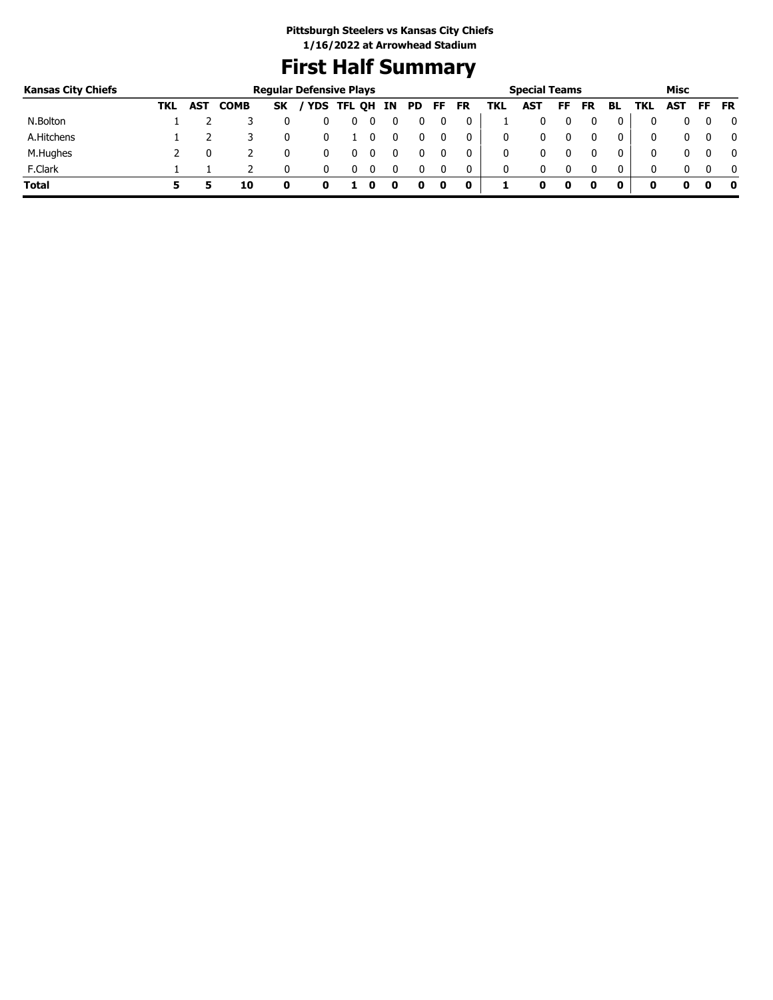# **First Half Summary**

| <b>Kansas City Chiefs</b> |     |     |             | <b>Regular Defensive Plays</b> |            |   |    |     |     |             |     | <b>Special Teams</b> |    |           |    |     | Misc |     |           |
|---------------------------|-----|-----|-------------|--------------------------------|------------|---|----|-----|-----|-------------|-----|----------------------|----|-----------|----|-----|------|-----|-----------|
|                           | TKL | AST | <b>COMB</b> | <b>SK</b>                      | YDS TFL QH |   | ΙN | PD. | FF. | <b>FR</b>   | TKL | <b>AST</b>           | FF | <b>FR</b> | BL | TKL | AST  | FF. | <b>FR</b> |
| N.Bolton                  |     |     |             |                                |            | υ |    |     |     | 0           |     |                      |    |           | 0  |     |      |     | 0         |
| A.Hitchens                |     |     |             |                                |            |   | 0  |     |     | 0           | 0   |                      |    |           | 0  |     |      |     | $\Omega$  |
| M.Hughes                  |     |     |             |                                |            |   |    |     |     |             | 0   |                      |    |           | 0  |     |      |     | 0         |
| F.Clark                   |     |     |             |                                |            |   |    |     |     | 0           | 0   |                      |    | 0         | 0  | 0   |      |     | - 0       |
| <b>Total</b>              |     |     | 10          |                                |            |   |    |     | 0   | $\mathbf 0$ |     | o                    | 0  |           |    | o   |      |     | 0         |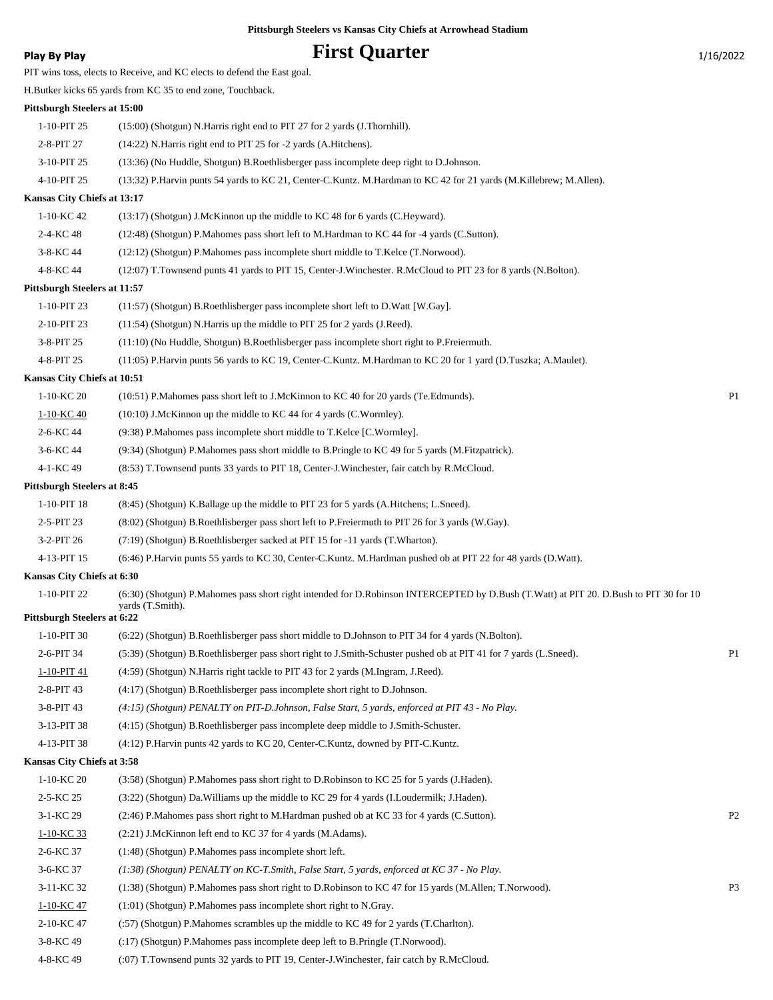## **Play By Play Play Play Play By Play First Quarter** 1/16/2022

|                                    | PIT wins toss, elects to Receive, and KC elects to defend the East goal.                                                              |                |
|------------------------------------|---------------------------------------------------------------------------------------------------------------------------------------|----------------|
|                                    | H.Butker kicks 65 yards from KC 35 to end zone, Touchback.                                                                            |                |
| Pittsburgh Steelers at 15:00       |                                                                                                                                       |                |
| 1-10-PIT 25                        | (15:00) (Shotgun) N.Harris right end to PIT 27 for 2 yards (J.Thornhill).                                                             |                |
| 2-8-PIT 27                         | (14:22) N. Harris right end to PIT 25 for -2 yards (A. Hitchens).                                                                     |                |
| 3-10-PIT 25                        | (13:36) (No Huddle, Shotgun) B.Roethlisberger pass incomplete deep right to D.Johnson.                                                |                |
| 4-10-PIT 25                        | (13:32) P.Harvin punts 54 yards to KC 21, Center-C.Kuntz. M.Hardman to KC 42 for 21 yards (M.Killebrew; M.Allen).                     |                |
| Kansas City Chiefs at 13:17        |                                                                                                                                       |                |
| 1-10-KC 42                         | $(13.17)$ (Shotgun) J.McKinnon up the middle to KC 48 for 6 yards (C.Heyward).                                                        |                |
| 2-4-KC 48                          | (12:48) (Shotgun) P.Mahomes pass short left to M.Hardman to KC 44 for -4 yards (C.Sutton).                                            |                |
| 3-8-KC 44                          | (12:12) (Shotgun) P.Mahomes pass incomplete short middle to T.Kelce (T.Norwood).                                                      |                |
| 4-8-KC 44                          | (12:07) T.Townsend punts 41 yards to PIT 15, Center-J.Winchester. R.McCloud to PIT 23 for 8 yards (N.Bolton).                         |                |
| Pittsburgh Steelers at 11:57       |                                                                                                                                       |                |
| 1-10-PIT 23                        | $(11:57)$ (Shotgun) B.Roethlisberger pass incomplete short left to D.Watt [W.Gay].                                                    |                |
| 2-10-PIT 23                        | $(11:54)$ (Shotgun) N.Harris up the middle to PIT 25 for 2 yards (J.Reed).                                                            |                |
| 3-8-PIT 25                         | (11:10) (No Huddle, Shotgun) B.Roethlisberger pass incomplete short right to P.Freiermuth.                                            |                |
| 4-8-PIT 25                         | (11:05) P.Harvin punts 56 yards to KC 19, Center-C.Kuntz. M.Hardman to KC 20 for 1 yard (D.Tuszka; A.Maulet).                         |                |
| Kansas City Chiefs at 10:51        |                                                                                                                                       |                |
| 1-10-KC 20                         | (10:51) P.Mahomes pass short left to J.McKinnon to KC 40 for 20 yards (Te.Edmunds).                                                   | P <sub>1</sub> |
| 1-10-KC 40                         | $(10:10)$ J.McKinnon up the middle to KC 44 for 4 yards (C.Wormley).                                                                  |                |
| 2-6-KC 44                          | (9:38) P.Mahomes pass incomplete short middle to T.Kelce [C.Wormley].                                                                 |                |
| 3-6-KC 44                          | (9:34) (Shotgun) P.Mahomes pass short middle to B.Pringle to KC 49 for 5 yards (M.Fitzpatrick).                                       |                |
| 4-1-KC 49                          | (8:53) T.Townsend punts 33 yards to PIT 18, Center-J.Winchester, fair catch by R.McCloud.                                             |                |
| <b>Pittsburgh Steelers at 8:45</b> |                                                                                                                                       |                |
| 1-10-PIT 18                        | (8:45) (Shotgun) K.Ballage up the middle to PIT 23 for 5 yards (A.Hitchens; L.Sneed).                                                 |                |
| 2-5-PIT 23                         | (8:02) (Shotgun) B.Roethlisberger pass short left to P.Freiermuth to PIT 26 for 3 yards (W.Gay).                                      |                |
| 3-2-PIT 26                         | (7:19) (Shotgun) B.Roethlisberger sacked at PIT 15 for -11 yards (T.Wharton).                                                         |                |
| 4-13-PIT 15                        | (6:46) P.Harvin punts 55 yards to KC 30, Center-C.Kuntz. M.Hardman pushed ob at PIT 22 for 48 yards (D.Watt).                         |                |
| Kansas City Chiefs at 6:30         |                                                                                                                                       |                |
| 1-10-PIT 22                        | (6:30) (Shotgun) P.Mahomes pass short right intended for D.Robinson INTERCEPTED by D.Bush (T.Watt) at PIT 20. D.Bush to PIT 30 for 10 |                |
| <b>Pittsburgh Steelers at 6:22</b> | yards (T.Smith).                                                                                                                      |                |
| 1-10-PIT 30                        | (6:22) (Shotgun) B.Roethlisberger pass short middle to D.Johnson to PIT 34 for 4 yards (N.Bolton).                                    |                |
| 2-6-PIT 34                         | (5:39) (Shotgun) B.Roethlisberger pass short right to J.Smith-Schuster pushed ob at PIT 41 for 7 yards (L.Sneed).                     | P <sub>1</sub> |
| 1-10-PIT 41                        | (4:59) (Shotgun) N.Harris right tackle to PIT 43 for 2 yards (M.Ingram, J.Reed).                                                      |                |
| 2-8-PIT 43                         | (4:17) (Shotgun) B.Roethlisberger pass incomplete short right to D.Johnson.                                                           |                |
| 3-8-PIT 43                         | (4:15) (Shotgun) PENALTY on PIT-D.Johnson, False Start, 5 yards, enforced at PIT 43 - No Play.                                        |                |
| 3-13-PIT 38                        | (4:15) (Shotgun) B.Roethlisberger pass incomplete deep middle to J.Smith-Schuster.                                                    |                |
| 4-13-PIT 38                        | (4:12) P.Harvin punts 42 yards to KC 20, Center-C.Kuntz, downed by PIT-C.Kuntz.                                                       |                |
| Kansas City Chiefs at 3:58         |                                                                                                                                       |                |
| 1-10-KC 20                         | (3:58) (Shotgun) P.Mahomes pass short right to D.Robinson to KC 25 for 5 yards (J.Haden).                                             |                |
| 2-5-KC 25                          | (3:22) (Shotgun) Da. Williams up the middle to KC 29 for 4 yards (I. Loudermilk; J. Haden).                                           |                |
| 3-1-KC 29                          | (2:46) P.Mahomes pass short right to M.Hardman pushed ob at KC 33 for 4 yards (C.Sutton).                                             | P <sub>2</sub> |
| $1-10-KC$ 33                       | (2:21) J.McKinnon left end to KC 37 for 4 yards (M.Adams).                                                                            |                |
| 2-6-KC 37                          | (1:48) (Shotgun) P.Mahomes pass incomplete short left.                                                                                |                |
| 3-6-KC 37                          | (1:38) (Shotgun) PENALTY on KC-T.Smith, False Start, 5 yards, enforced at KC 37 - No Play.                                            |                |
| 3-11-KC 32                         | (1:38) (Shotgun) P.Mahomes pass short right to D.Robinson to KC 47 for 15 yards (M.Allen; T.Norwood).                                 | P <sub>3</sub> |
| 1-10-KC 47                         | (1:01) (Shotgun) P.Mahomes pass incomplete short right to N.Gray.                                                                     |                |
| 2-10-KC 47                         | (:57) (Shotgun) P.Mahomes scrambles up the middle to KC 49 for 2 yards (T.Charlton).                                                  |                |
| 3-8-KC 49                          | (:17) (Shotgun) P.Mahomes pass incomplete deep left to B.Pringle (T.Norwood).                                                         |                |

4-8-KC 49 (:07) T.Townsend punts 32 yards to PIT 19, Center-J.Winchester, fair catch by R.McCloud.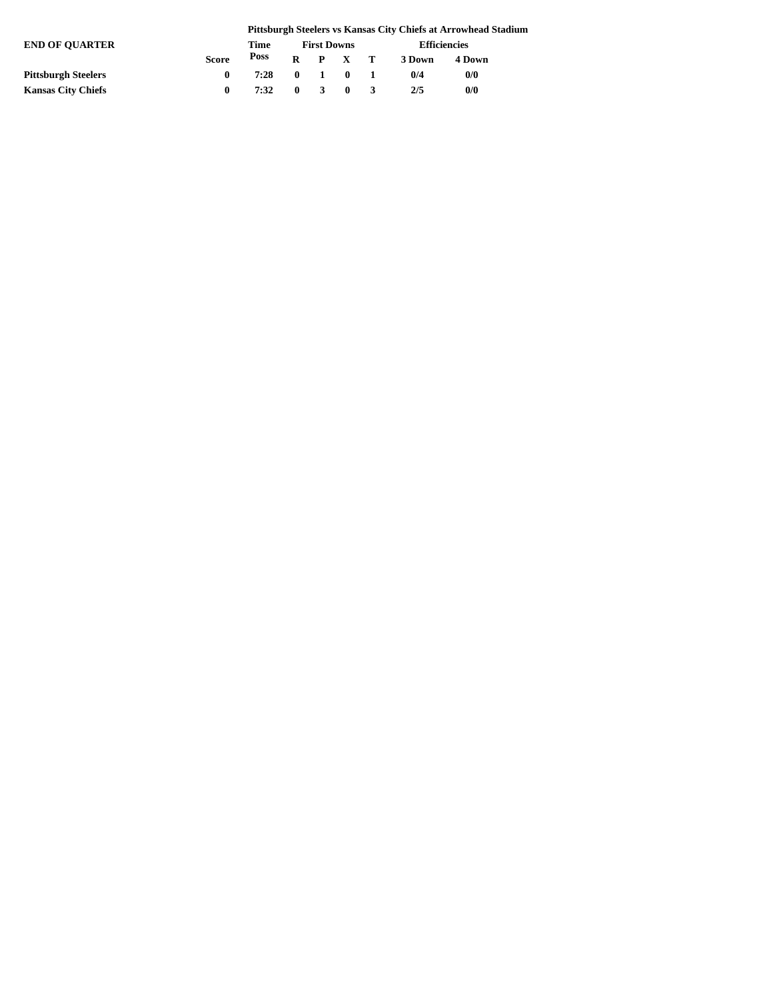|                            |              |      |              |                    |                 |              | Pittsburgh Steelers vs Kansas City Chiefs at Arrowhead Stadium |  |  |
|----------------------------|--------------|------|--------------|--------------------|-----------------|--------------|----------------------------------------------------------------|--|--|
| <b>END OF OUARTER</b>      |              | Time |              | <b>First Downs</b> |                 | Efficiencies |                                                                |  |  |
|                            | <b>Score</b> | Poss |              |                    | $R$ $P$ $X$ $T$ | 3 Down       | 4 Down                                                         |  |  |
| <b>Pittsburgh Steelers</b> | 0            | 7:28 | $\mathbf{0}$ | $1 \quad 0$        |                 | 0/4          | 0/0                                                            |  |  |
| <b>Kansas City Chiefs</b>  | 0            | 7:32 | $\mathbf{0}$ | $3 \quad 0$        |                 | 2/5          | 0/0                                                            |  |  |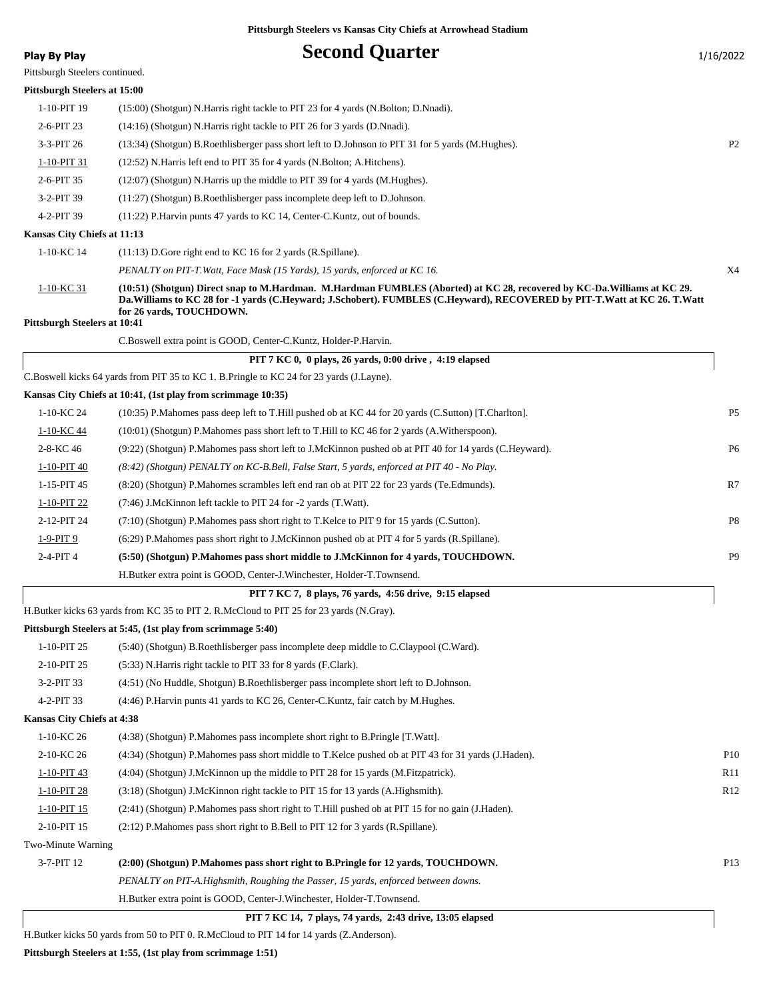### **Play By Play Play Play Play Second Quarter** 1/16/2022

Pittsburgh Steelers continued.

#### **Pittsburgh Steelers at 15:00**

| 1-10-PIT 19                                              | (15:00) (Shotgun) N.Harris right tackle to PIT 23 for 4 yards (N.Bolton; D.Nnadi).                                                                                                                                                                                                 |                |
|----------------------------------------------------------|------------------------------------------------------------------------------------------------------------------------------------------------------------------------------------------------------------------------------------------------------------------------------------|----------------|
| 2-6-PIT 23                                               | (14:16) (Shotgun) N.Harris right tackle to PIT 26 for 3 yards (D.Nnadi).                                                                                                                                                                                                           |                |
| 3-3-PIT 26                                               | (13:34) (Shotgun) B.Roethlisberger pass short left to D.Johnson to PIT 31 for 5 yards (M.Hughes).                                                                                                                                                                                  | P <sub>2</sub> |
| 1-10-PIT 31                                              | (12:52) N.Harris left end to PIT 35 for 4 yards (N.Bolton; A.Hitchens).                                                                                                                                                                                                            |                |
| 2-6-PIT 35                                               | $(12.07)$ (Shotgun) N.Harris up the middle to PIT 39 for 4 yards (M.Hughes).                                                                                                                                                                                                       |                |
| 3-2-PIT 39                                               | (11:27) (Shotgun) B.Roethlisberger pass incomplete deep left to D.Johnson.                                                                                                                                                                                                         |                |
| 4-2-PIT 39                                               | (11:22) P.Harvin punts 47 yards to KC 14, Center-C.Kuntz, out of bounds.                                                                                                                                                                                                           |                |
| Kansas City Chiefs at 11:13                              |                                                                                                                                                                                                                                                                                    |                |
| 1-10-KC 14                                               | $(11:13)$ D.Gore right end to KC 16 for 2 yards (R.Spillane).                                                                                                                                                                                                                      |                |
|                                                          | PENALTY on PIT-T. Watt, Face Mask (15 Yards), 15 yards, enforced at KC 16.                                                                                                                                                                                                         | X4             |
| <u>1-10-KC 31</u><br><b>Pittsburgh Steelers at 10:41</b> | (10:51) (Shotgun) Direct snap to M.Hardman. M.Hardman FUMBLES (Aborted) at KC 28, recovered by KC-Da.Williams at KC 29.<br>Da. Williams to KC 28 for -1 yards (C.Heyward; J.Schobert). FUMBLES (C.Heyward), RECOVERED by PIT-T. Watt at KC 26. T. Watt<br>for 26 yards, TOUCHDOWN. |                |
|                                                          | C.Boswell extra point is GOOD, Center-C.Kuntz, Holder-P.Harvin.                                                                                                                                                                                                                    |                |
|                                                          | PIT 7 KC 0, 0 plays, 26 yards, 0:00 drive, 4:19 elapsed                                                                                                                                                                                                                            |                |
|                                                          | C.Boswell kicks 64 yards from PIT 35 to KC 1. B.Pringle to KC 24 for 23 yards (J.Layne).                                                                                                                                                                                           |                |
|                                                          | Kansas City Chiefs at 10:41, (1st play from scrimmage 10:35)                                                                                                                                                                                                                       |                |
| 1-10-KC 24                                               | (10:35) P.Mahomes pass deep left to T.Hill pushed ob at KC 44 for 20 yards (C.Sutton) [T.Charlton].                                                                                                                                                                                | P <sub>5</sub> |
| 1-10-KC 44                                               | $(10:01)$ (Shotgun) P.Mahomes pass short left to T.Hill to KC 46 for 2 yards (A.Witherspoon).                                                                                                                                                                                      |                |
| 2-8-KC 46                                                | (9:22) (Shotgun) P.Mahomes pass short left to J.McKinnon pushed ob at PIT 40 for 14 yards (C.Heyward).                                                                                                                                                                             | P <sub>6</sub> |
| 1-10-PIT 40                                              | (8:42) (Shotgun) PENALTY on KC-B.Bell, False Start, 5 yards, enforced at PIT 40 - No Play.                                                                                                                                                                                         |                |
| 1-15-PIT 45                                              | (8:20) (Shotgun) P.Mahomes scrambles left end ran ob at PIT 22 for 23 yards (Te.Edmunds).                                                                                                                                                                                          | R7             |
| 1-10-PIT 22                                              | (7:46) J.McKinnon left tackle to PIT 24 for -2 yards (T.Watt).                                                                                                                                                                                                                     |                |
| 2-12-PIT 24                                              | (7:10) (Shotgun) P. Mahomes pass short right to T. Kelce to PIT 9 for 15 yards (C. Sutton).                                                                                                                                                                                        | P8             |
| 1-9-PIT 9                                                | $(6:29)$ P.Mahomes pass short right to J.McKinnon pushed ob at PIT 4 for 5 yards (R.Spillane).                                                                                                                                                                                     |                |
| 2-4-PIT 4                                                | (5:50) (Shotgun) P.Mahomes pass short middle to J.McKinnon for 4 yards, TOUCHDOWN.                                                                                                                                                                                                 | P <sub>9</sub> |
|                                                          | H.Butker extra point is GOOD, Center-J.Winchester, Holder-T.Townsend.                                                                                                                                                                                                              |                |
|                                                          | PIT 7 KC 7, 8 plays, 76 yards, 4:56 drive, 9:15 elapsed                                                                                                                                                                                                                            |                |
|                                                          | H.Butker kicks 63 yards from KC 35 to PIT 2. R.McCloud to PIT 25 for 23 yards (N.Gray).                                                                                                                                                                                            |                |
|                                                          | Pittsburgh Steelers at 5:45, (1st play from scrimmage 5:40)                                                                                                                                                                                                                        |                |
| 1-10-PIT 25                                              | (5:40) (Shotgun) B.Roethlisberger pass incomplete deep middle to C.Claypool (C.Ward).                                                                                                                                                                                              |                |
| 2-10-PIT 25                                              | (5:33) N.Harris right tackle to PIT 33 for 8 yards (F.Clark).                                                                                                                                                                                                                      |                |
| 3-2-PIT 33                                               | (4:51) (No Huddle, Shotgun) B.Roethlisberger pass incomplete short left to D.Johnson.                                                                                                                                                                                              |                |
| 4-2-PIT 33                                               | (4:46) P.Harvin punts 41 yards to KC 26, Center-C.Kuntz, fair catch by M.Hughes.                                                                                                                                                                                                   |                |
| Kansas City Chiefs at 4:38                               |                                                                                                                                                                                                                                                                                    |                |
| 1-10-KC 26                                               | (4:38) (Shotgun) P.Mahomes pass incomplete short right to B.Pringle [T.Watt].                                                                                                                                                                                                      |                |
| 2-10-KC 26                                               | (4:34) (Shotgun) P.Mahomes pass short middle to T.Kelce pushed ob at PIT 43 for 31 yards (J.Haden).                                                                                                                                                                                | P10            |
| 1-10-PIT 43                                              | (4:04) (Shotgun) J.McKinnon up the middle to PIT 28 for 15 yards (M.Fitzpatrick).                                                                                                                                                                                                  | R11            |
| 1-10-PIT 28                                              | (3:18) (Shotgun) J.McKinnon right tackle to PIT 15 for 13 yards (A.Highsmith).                                                                                                                                                                                                     | R12            |
| 1-10-PIT 15                                              | (2:41) (Shotgun) P. Mahomes pass short right to T. Hill pushed ob at PIT 15 for no gain (J. Haden).                                                                                                                                                                                |                |
| 2-10-PIT 15                                              | (2:12) P.Mahomes pass short right to B.Bell to PIT 12 for 3 yards (R.Spillane).                                                                                                                                                                                                    |                |
|                                                          |                                                                                                                                                                                                                                                                                    |                |

Two-Minute Warning

| 3-7-PIT 12 | (2:00) (Shotgun) P.Mahomes pass short right to B.Pringle for 12 yards, TOUCHDOWN.  |  |
|------------|------------------------------------------------------------------------------------|--|
|            | PENALTY on PIT-A.Highsmith, Roughing the Passer, 15 yards, enforced between downs. |  |

H.Butker extra point is GOOD, Center-J.Winchester, Holder-T.Townsend.

### **PIT 7 KC 14, 7 plays, 74 yards, 2:43 drive, 13:05 elapsed**

H.Butker kicks 50 yards from 50 to PIT 0. R.McCloud to PIT 14 for 14 yards (Z.Anderson).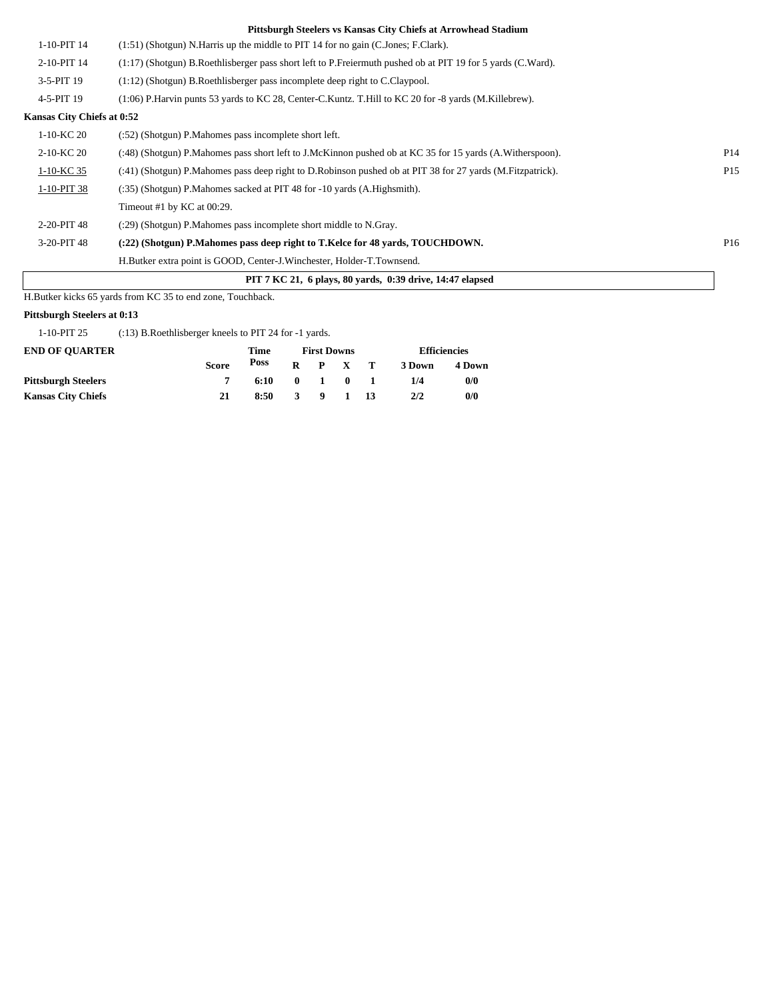| P <sub>14</sub> |
|-----------------|
| P <sub>15</sub> |
|                 |
|                 |
|                 |
| P <sub>16</sub> |
|                 |
|                 |
|                 |

H.Butker kicks 65 yards from KC 35 to end zone, Touchback.

#### **Pittsburgh Steelers at 0:13**

1-10-PIT 25 (:13) B.Roethlisberger kneels to PIT 24 for -1 yards.

| <b>END OF OUARTER</b>      |              | Time |              | <b>First Downs</b> |                 | <b>Efficiencies</b> |        |  |
|----------------------------|--------------|------|--------------|--------------------|-----------------|---------------------|--------|--|
|                            | <b>Score</b> | Poss |              |                    | $R$ $P$ $X$ $T$ | 3 Down              | 4 Down |  |
| <b>Pittsburgh Steelers</b> |              | 6:10 |              | $\mathbf{0}$ 1     | $\mathbf{0}$    | 1/4                 | 0/0    |  |
| <b>Kansas City Chiefs</b>  | 21           | 8:50 | $\mathbf{3}$ |                    | 9 1 13          | 2/2                 | 0/0    |  |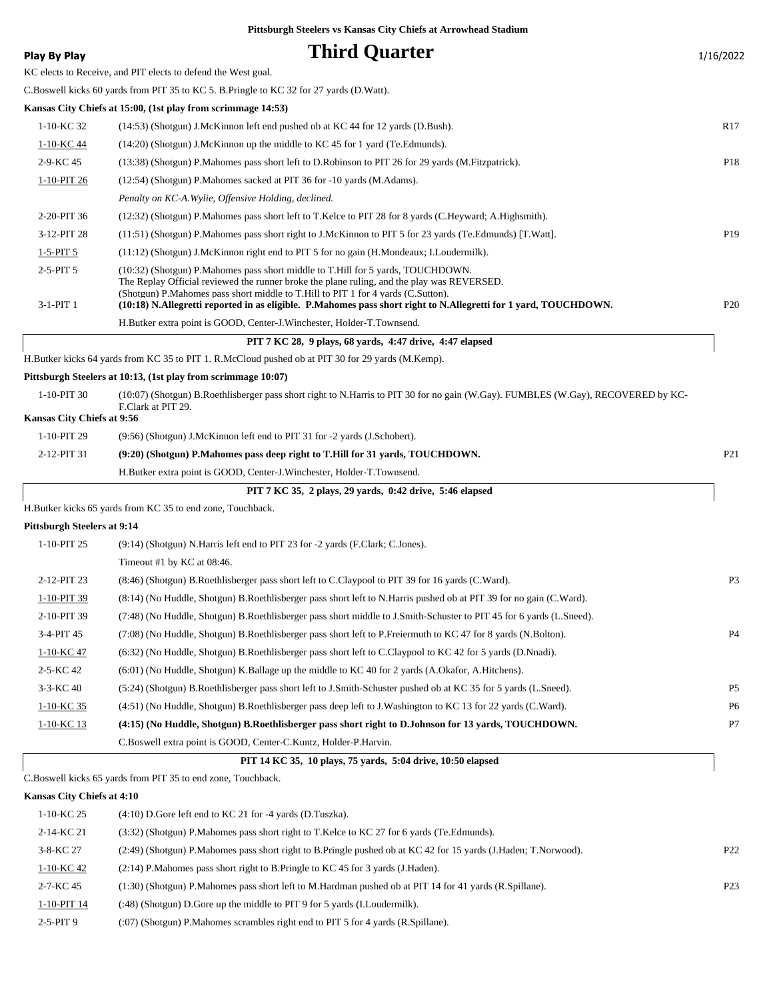**Play By Play Play Play Play Play By Play Play By Play Play By Play Play Play Play Play Play Play Play Play Play Play Play Play Play Play Play Play Play Play Play Play** KC elects to Receive, and PIT elects to defend the West goal. C.Boswell kicks 60 yards from PIT 35 to KC 5. B.Pringle to KC 32 for 27 yards (D.Watt). **Kansas City Chiefs at 15:00, (1st play from scrimmage 14:53)** 1-10-KC 32 (14:53) (Shotgun) J.McKinnon left end pushed ob at KC 44 for 12 yards (D.Bush). R17 1-10-KC 44 (14:20) (Shotgun) J.McKinnon up the middle to KC 45 for 1 yard (Te.Edmunds). 2-9-KC 45 (13:38) (Shotgun) P.Mahomes pass short left to D.Robinson to PIT 26 for 29 yards (M.Fitzpatrick). P18 1-10-PIT 26 (12:54) (Shotgun) P.Mahomes sacked at PIT 36 for -10 yards (M.Adams). *Penalty on KC-A.Wylie, Offensive Holding, declined.* 2-20-PIT 36 (12:32) (Shotgun) P.Mahomes pass short left to T.Kelce to PIT 28 for 8 yards (C.Heyward; A.Highsmith). 3-12-PIT 28 (11:51) (Shotgun) P.Mahomes pass short right to J.McKinnon to PIT 5 for 23 yards (Te.Edmunds) [T.Watt]. P19 1-5-PIT 5 (11:12) (Shotgun) J.McKinnon right end to PIT 5 for no gain (H.Mondeaux; I.Loudermilk). (10:32) (Shotgun) P.Mahomes pass short middle to T.Hill for 5 yards, TOUCHDOWN. The Replay Official reviewed the runner broke the plane ruling, and the play was REVERSED. (Shotgun) P.Mahomes pass short middle to T.Hill to PIT 1 for 4 yards (C.Sutton). 2-5-PIT 5 3-1-PIT 1 **(10:18) N.Allegretti reported in as eligible. P.Mahomes pass short right to N.Allegretti for 1 yard, TOUCHDOWN.** P20 H.Butker extra point is GOOD, Center-J.Winchester, Holder-T.Townsend.  **PIT 7 KC 28, 9 plays, 68 yards, 4:47 drive, 4:47 elapsed** H.Butker kicks 64 yards from KC 35 to PIT 1. R.McCloud pushed ob at PIT 30 for 29 yards (M.Kemp). **Pittsburgh Steelers at 10:13, (1st play from scrimmage 10:07)** (10:07) (Shotgun) B.Roethlisberger pass short right to N.Harris to PIT 30 for no gain (W.Gay). FUMBLES (W.Gay), RECOVERED by KC-F.Clark at PIT 29. 1-10-PIT 30 **Kansas City Chiefs at 9:56** 1-10-PIT 29 (9:56) (Shotgun) J.McKinnon left end to PIT 31 for -2 yards (J.Schobert). 2-12-PIT 31 **(9:20) (Shotgun) P.Mahomes pass deep right to T.Hill for 31 yards, TOUCHDOWN.** P21 H.Butker extra point is GOOD, Center-J.Winchester, Holder-T.Townsend.  **PIT 7 KC 35, 2 plays, 29 yards, 0:42 drive, 5:46 elapsed** H.Butker kicks 65 yards from KC 35 to end zone, Touchback. **Pittsburgh Steelers at 9:14** 1-10-PIT 25 (9:14) (Shotgun) N.Harris left end to PIT 23 for -2 yards (F.Clark; C.Jones). Timeout #1 by KC at 08:46. 2-12-PIT 23 (8:46) (Shotgun) B.Roethlisberger pass short left to C.Claypool to PIT 39 for 16 yards (C.Ward). P3 1-10-PIT 39 (8:14) (No Huddle, Shotgun) B.Roethlisberger pass short left to N.Harris pushed ob at PIT 39 for no gain (C.Ward). 2-10-PIT 39 (7:48) (No Huddle, Shotgun) B.Roethlisberger pass short middle to J.Smith-Schuster to PIT 45 for 6 yards (L.Sneed). 3-4-PIT 45 (7:08) (No Huddle, Shotgun) B.Roethlisberger pass short left to P.Freiermuth to KC 47 for 8 yards (N.Bolton). P4 1-10-KC 47 (6:32) (No Huddle, Shotgun) B.Roethlisberger pass short left to C.Claypool to KC 42 for 5 yards (D.Nnadi). 2-5-KC 42 (6:01) (No Huddle, Shotgun) K.Ballage up the middle to KC 40 for 2 yards (A.Okafor, A.Hitchens). 3-3-KC 40 (5:24) (Shotgun) B.Roethlisberger pass short left to J.Smith-Schuster pushed ob at KC 35 for 5 yards (L.Sneed). P5 1-10-KC 35 (4:51) (No Huddle, Shotgun) B.Roethlisberger pass deep left to J.Washington to KC 13 for 22 yards (C.Ward). P6 1-10-KC 13 **(4:15) (No Huddle, Shotgun) B.Roethlisberger pass short right to D.Johnson for 13 yards, TOUCHDOWN.** P7 C.Boswell extra point is GOOD, Center-C.Kuntz, Holder-P.Harvin.  **PIT 14 KC 35, 10 plays, 75 yards, 5:04 drive, 10:50 elapsed** C.Boswell kicks 65 yards from PIT 35 to end zone, Touchback. **Kansas City Chiefs at 4:10** 1-10-KC 25 (4:10) D.Gore left end to KC 21 for -4 yards (D.Tuszka). 2-14-KC 21 (3:32) (Shotgun) P.Mahomes pass short right to T.Kelce to KC 27 for 6 yards (Te.Edmunds). 3-8-KC 27 (2:49) (Shotgun) P.Mahomes pass short right to B.Pringle pushed ob at KC 42 for 15 yards (J.Haden; T.Norwood). P22 1-10-KC 42 (2:14) P.Mahomes pass short right to B.Pringle to KC 45 for 3 yards (J.Haden). 2-7-KC 45 (1:30) (Shotgun) P.Mahomes pass short left to M.Hardman pushed ob at PIT 14 for 41 yards (R.Spillane). P23

1-10-PIT 14 (:48) (Shotgun) D.Gore up the middle to PIT 9 for 5 yards (I.Loudermilk).

2-5-PIT 9 (:07) (Shotgun) P.Mahomes scrambles right end to PIT 5 for 4 yards (R.Spillane).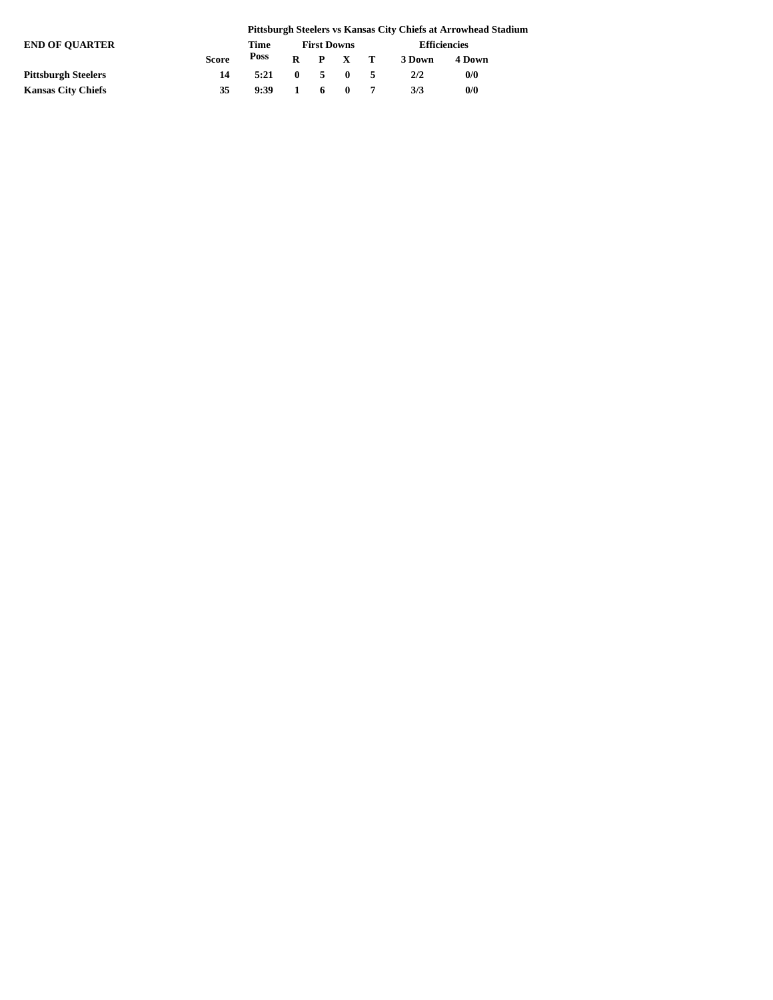|                            |              |      |              |                    |              |    |                     | Pittsburgh Steelers vs Kansas City Chiefs at Arrowhead Stadium |  |  |
|----------------------------|--------------|------|--------------|--------------------|--------------|----|---------------------|----------------------------------------------------------------|--|--|
| <b>END OF OUARTER</b>      |              | Time |              | <b>First Downs</b> |              |    | <b>Efficiencies</b> |                                                                |  |  |
|                            | <b>Score</b> | Poss | R            |                    | P X T        |    | 3 Down              | 4 Down                                                         |  |  |
| <b>Pittsburgh Steelers</b> | 14           | 5:21 | $\mathbf{0}$ | 5.                 | - 0          | -5 | 2/2                 | 0/0                                                            |  |  |
| <b>Kansas City Chiefs</b>  | 35           | 9:39 |              | -6                 | $\mathbf{0}$ |    | 3/3                 | 0/0                                                            |  |  |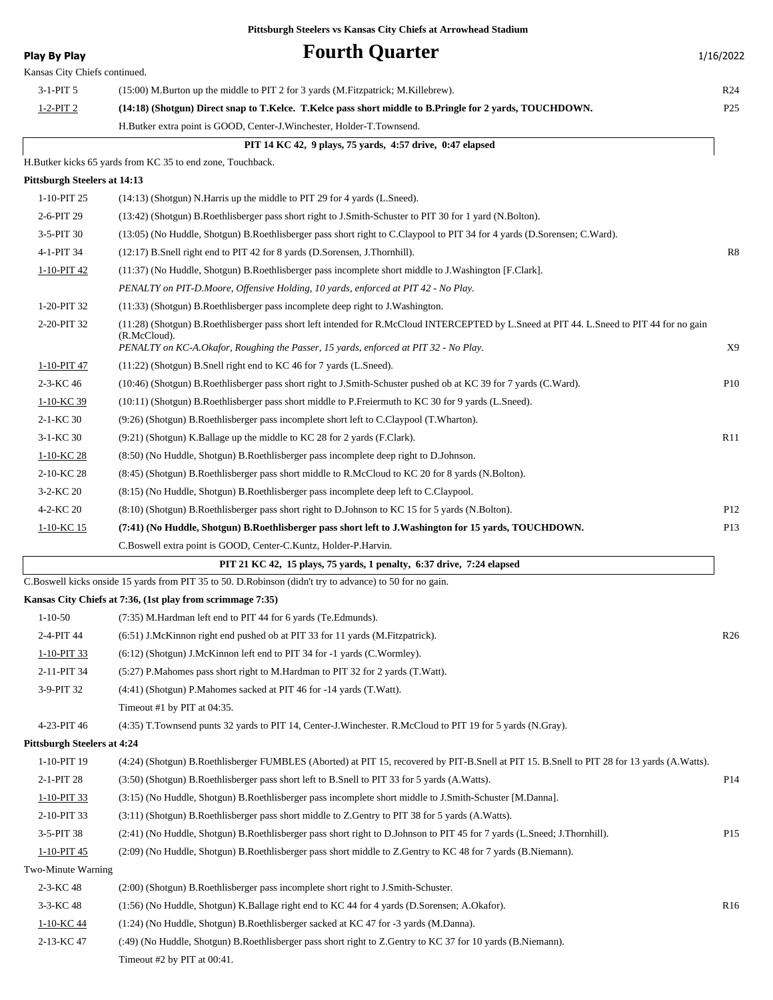| <b>Play By Play</b>                 | <b>Fourth Quarter</b>                                                                                                                                                                                                                             | 1/16/2022       |
|-------------------------------------|---------------------------------------------------------------------------------------------------------------------------------------------------------------------------------------------------------------------------------------------------|-----------------|
| Kansas City Chiefs continued.       |                                                                                                                                                                                                                                                   |                 |
| $3-1-PIT5$                          | (15:00) M.Burton up the middle to PIT 2 for 3 yards (M.Fitzpatrick; M.Killebrew).                                                                                                                                                                 | R <sub>24</sub> |
| $1-2-PIT2$                          | (14:18) (Shotgun) Direct snap to T.Kelce. T.Kelce pass short middle to B.Pringle for 2 yards, TOUCHDOWN.                                                                                                                                          | P <sub>25</sub> |
|                                     | H.Butker extra point is GOOD, Center-J.Winchester, Holder-T.Townsend.                                                                                                                                                                             |                 |
|                                     | PIT 14 KC 42, 9 plays, 75 yards, 4:57 drive, 0:47 elapsed                                                                                                                                                                                         |                 |
|                                     | H.Butker kicks 65 yards from KC 35 to end zone, Touchback.                                                                                                                                                                                        |                 |
| <b>Pittsburgh Steelers at 14:13</b> |                                                                                                                                                                                                                                                   |                 |
| 1-10-PIT 25                         | $(14:13)$ (Shotgun) N.Harris up the middle to PIT 29 for 4 yards (L.Sneed).                                                                                                                                                                       |                 |
| 2-6-PIT 29                          | (13:42) (Shotgun) B.Roethlisberger pass short right to J.Smith-Schuster to PIT 30 for 1 yard (N.Bolton).                                                                                                                                          |                 |
| 3-5-PIT 30                          | (13:05) (No Huddle, Shotgun) B.Roethlisberger pass short right to C.Claypool to PIT 34 for 4 yards (D.Sorensen; C.Ward).                                                                                                                          |                 |
| 4-1-PIT 34                          | (12:17) B. Snell right end to PIT 42 for 8 yards (D. Sorensen, J. Thornhill).                                                                                                                                                                     | R8              |
| 1-10-PIT 42                         | (11:37) (No Huddle, Shotgun) B.Roethlisberger pass incomplete short middle to J.Washington [F.Clark].                                                                                                                                             |                 |
|                                     | PENALTY on PIT-D.Moore, Offensive Holding, 10 yards, enforced at PIT 42 - No Play.                                                                                                                                                                |                 |
| 1-20-PIT 32                         | (11:33) (Shotgun) B.Roethlisberger pass incomplete deep right to J.Washington.                                                                                                                                                                    |                 |
| 2-20-PIT 32                         | (11:28) (Shotgun) B.Roethlisberger pass short left intended for R.McCloud INTERCEPTED by L.Sneed at PIT 44. L.Sneed to PIT 44 for no gain<br>(R.McCloud).<br>PENALTY on KC-A.Okafor, Roughing the Passer, 15 yards, enforced at PIT 32 - No Play. | X9              |
| 1-10-PIT 47                         | $(11:22)$ (Shotgun) B.Snell right end to KC 46 for 7 yards (L.Sneed).                                                                                                                                                                             |                 |
| 2-3-KC 46                           | (10:46) (Shotgun) B.Roethlisberger pass short right to J.Smith-Schuster pushed ob at KC 39 for 7 yards (C.Ward).                                                                                                                                  | P <sub>10</sub> |
| 1-10-KC 39                          | (10:11) (Shotgun) B.Roethlisberger pass short middle to P.Freiermuth to KC 30 for 9 yards (L.Sneed).                                                                                                                                              |                 |
| 2-1-KC 30                           | (9:26) (Shotgun) B.Roethlisberger pass incomplete short left to C.Claypool (T.Wharton).                                                                                                                                                           |                 |
| $3-1-KC$ 30                         | (9:21) (Shotgun) K.Ballage up the middle to KC 28 for 2 yards (F.Clark).                                                                                                                                                                          | R11             |
| 1-10-KC 28                          | (8:50) (No Huddle, Shotgun) B.Roethlisberger pass incomplete deep right to D.Johnson.                                                                                                                                                             |                 |
| 2-10-KC 28                          | (8:45) (Shotgun) B.Roethlisberger pass short middle to R.McCloud to KC 20 for 8 yards (N.Bolton).                                                                                                                                                 |                 |
| 3-2-KC 20                           | (8:15) (No Huddle, Shotgun) B.Roethlisberger pass incomplete deep left to C.Claypool.                                                                                                                                                             |                 |
| 4-2-KC 20                           | (8:10) (Shotgun) B.Roethlisberger pass short right to D.Johnson to KC 15 for 5 yards (N.Bolton).                                                                                                                                                  | P <sub>12</sub> |
| 1-10-KC 15                          | (7:41) (No Huddle, Shotgun) B.Roethlisberger pass short left to J.Washington for 15 yards, TOUCHDOWN.                                                                                                                                             | P <sub>13</sub> |
|                                     | C.Boswell extra point is GOOD, Center-C.Kuntz, Holder-P.Harvin.                                                                                                                                                                                   |                 |
|                                     | PIT 21 KC 42, 15 plays, 75 yards, 1 penalty, 6:37 drive, 7:24 elapsed                                                                                                                                                                             |                 |
|                                     | C.Boswell kicks onside 15 yards from PIT 35 to 50. D.Robinson (didn't try to advance) to 50 for no gain.                                                                                                                                          |                 |
|                                     | Kansas City Chiefs at 7:36, (1st play from scrimmage 7:35)                                                                                                                                                                                        |                 |
| $1 - 10 - 50$                       | (7:35) M.Hardman left end to PIT 44 for 6 yards (Te.Edmunds).                                                                                                                                                                                     |                 |
| 2-4-PIT 44                          | (6:51) J.McKinnon right end pushed ob at PIT 33 for 11 yards (M.Fitzpatrick).                                                                                                                                                                     | R <sub>26</sub> |
| 1-10-PIT 33                         | (6:12) (Shotgun) J.McKinnon left end to PIT 34 for -1 yards (C.Wormley).                                                                                                                                                                          |                 |
| 2-11-PIT 34                         | (5.27) P.Mahomes pass short right to M.Hardman to PIT 32 for 2 yards (T.Watt).                                                                                                                                                                    |                 |
| 3-9-PIT 32                          | $(4:41)$ (Shotgun) P.Mahomes sacked at PIT 46 for -14 yards (T.Watt).                                                                                                                                                                             |                 |
|                                     | Timeout #1 by PIT at 04:35.                                                                                                                                                                                                                       |                 |
| 4-23-PIT 46                         | (4:35) T.Townsend punts 32 yards to PIT 14, Center-J.Winchester. R.McCloud to PIT 19 for 5 yards (N.Gray).                                                                                                                                        |                 |
| <b>Pittsburgh Steelers at 4:24</b>  |                                                                                                                                                                                                                                                   |                 |
| 1-10-PIT 19                         | (4:24) (Shotgun) B.Roethlisberger FUMBLES (Aborted) at PIT 15, recovered by PIT-B.Snell at PIT 15. B.Snell to PIT 28 for 13 yards (A.Watts).                                                                                                      |                 |
| 2-1-PIT 28                          | (3:50) (Shotgun) B.Roethlisberger pass short left to B.Snell to PIT 33 for 5 yards (A.Watts).                                                                                                                                                     | P <sub>14</sub> |
| 1-10-PIT 33                         | (3:15) (No Huddle, Shotgun) B.Roethlisberger pass incomplete short middle to J.Smith-Schuster [M.Danna].                                                                                                                                          |                 |
| 2-10-PIT 33                         | (3:11) (Shotgun) B.Roethlisberger pass short middle to Z.Gentry to PIT 38 for 5 yards (A.Watts).                                                                                                                                                  |                 |
| 3-5-PIT 38                          | (2:41) (No Huddle, Shotgun) B.Roethlisberger pass short right to D.Johnson to PIT 45 for 7 yards (L.Sneed; J.Thornhill).                                                                                                                          | P <sub>15</sub> |
| 1-10-PIT 45                         | (2:09) (No Huddle, Shotgun) B.Roethlisberger pass short middle to Z.Gentry to KC 48 for 7 yards (B.Niemann).                                                                                                                                      |                 |
| Two-Minute Warning                  |                                                                                                                                                                                                                                                   |                 |
| 2-3-KC 48                           | (2:00) (Shotgun) B.Roethlisberger pass incomplete short right to J.Smith-Schuster.                                                                                                                                                                |                 |
| 3-3-KC 48                           | (1:56) (No Huddle, Shotgun) K.Ballage right end to KC 44 for 4 yards (D.Sorensen; A.Okafor).                                                                                                                                                      | R <sub>16</sub> |
| 1-10-KC 44                          | (1:24) (No Huddle, Shotgun) B.Roethlisberger sacked at KC 47 for -3 yards (M.Danna).                                                                                                                                                              |                 |
| 2-13-KC 47                          | (:49) (No Huddle, Shotgun) B.Roethlisberger pass short right to Z.Gentry to KC 37 for 10 yards (B.Niemann).                                                                                                                                       |                 |
|                                     | Timeout #2 by PIT at 00:41.                                                                                                                                                                                                                       |                 |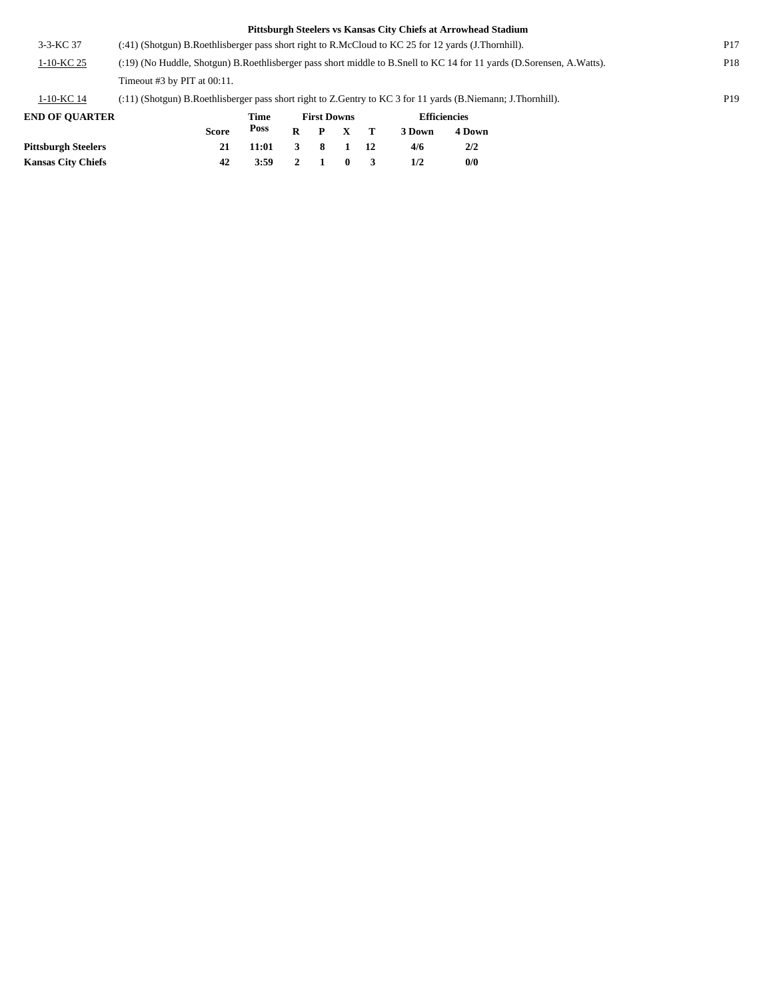|                       |                                                                                                                       |       |   |                    |  |    | Pittsburgh Steelers vs Kansas City Chiefs at Arrowhead Stadium |                     |  |                 |
|-----------------------|-----------------------------------------------------------------------------------------------------------------------|-------|---|--------------------|--|----|----------------------------------------------------------------|---------------------|--|-----------------|
| $3 - 3 - KC 37$       | (:41) (Shotgun) B.Roethlisberger pass short right to R.McCloud to KC 25 for 12 yards (J.Thornhill).                   |       |   |                    |  |    |                                                                |                     |  | P <sub>17</sub> |
| 1-10-KC 25            | (:19) (No Huddle, Shotgun) B.Roethlisberger pass short middle to B.Snell to KC 14 for 11 yards (D.Sorensen, A.Watts). |       |   |                    |  |    |                                                                |                     |  |                 |
|                       | Timeout $#3$ by PIT at $00:11$ .                                                                                      |       |   |                    |  |    |                                                                |                     |  |                 |
| $1-10-KC$ 14          | $(3.11)$ (Shotgun) B.Roethlisberger pass short right to Z.Gentry to KC 3 for 11 yards (B.Niemann; J.Thornhill).       |       |   |                    |  |    |                                                                |                     |  | P <sub>19</sub> |
| <b>END OF OUARTER</b> |                                                                                                                       | Time  |   | <b>First Downs</b> |  |    |                                                                | <b>Efficiencies</b> |  |                 |
|                       | <b>Score</b>                                                                                                          | Poss  | R | P                  |  |    | 3 Down                                                         | 4 Down              |  |                 |
| Pittsburgh Steelers   | 21                                                                                                                    | 11:01 | 3 | 8                  |  | 12 | 4/6                                                            | 2/2                 |  |                 |

**Kansas City Chiefs 42 3:59 2 1 0 3 1/2 0/0**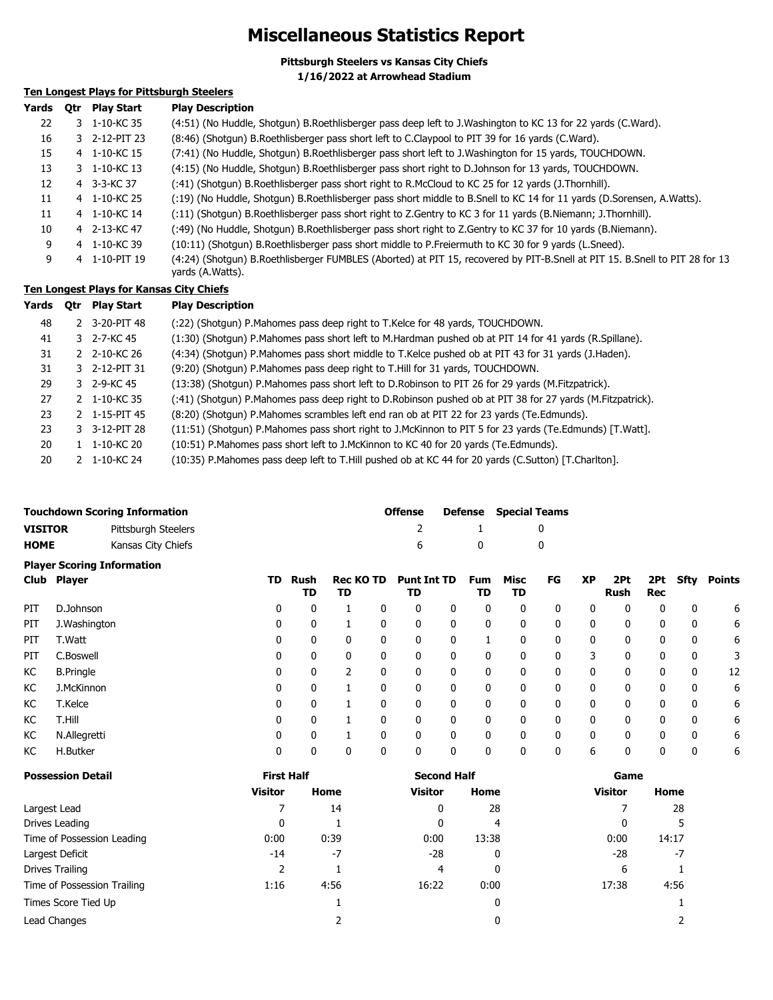## **Miscellaneous Statistics Report**

**Pittsburgh Steelers vs Kansas City Chiefs 1/16/2022 at Arrowhead Stadium**

### **Ten Longest Plays for Pittsburgh Steelers**

| Yards | 0tr | <b>Play Start</b> | <b>Play Description</b>                                                                                                                         |
|-------|-----|-------------------|-------------------------------------------------------------------------------------------------------------------------------------------------|
| 22    |     | 3 1-10-KC 35      | (4:51) (No Huddle, Shotgun) B.Roethlisberger pass deep left to J.Washington to KC 13 for 22 yards (C.Ward).                                     |
| 16    |     | 3 2-12-PIT 23     | (8:46) (Shotgun) B.Roethlisberger pass short left to C.Claypool to PIT 39 for 16 yards (C.Ward).                                                |
| 15    |     | 4 1-10-KC 15      | (7:41) (No Huddle, Shotgun) B.Roethlisberger pass short left to J.Washington for 15 yards, TOUCHDOWN.                                           |
| 13    |     | 3 1-10-KC 13      | (4:15) (No Huddle, Shotgun) B.Roethlisberger pass short right to D.Johnson for 13 yards, TOUCHDOWN.                                             |
| 12    |     | 4 3-3-KC 37       | (:41) (Shotgun) B.Roethlisberger pass short right to R.McCloud to KC 25 for 12 yards (J.Thornhill).                                             |
| 11    |     | 4 1-10-KC 25      | (:19) (No Huddle, Shotgun) B.Roethlisberger pass short middle to B.Snell to KC 14 for 11 yards (D.Sorensen, A.Watts).                           |
| 11    |     | 4 1-10-KC 14      | (:11) (Shotgun) B.Roethlisberger pass short right to Z.Gentry to KC 3 for 11 yards (B.Niemann; J.Thornhill).                                    |
| 10    |     | 4 2-13-KC 47      | (:49) (No Huddle, Shotgun) B.Roethlisberger pass short right to Z.Gentry to KC 37 for 10 yards (B.Niemann).                                     |
| 9     |     | 4 1-10-KC 39      | (10:11) (Shotqun) B.Roethlisberger pass short middle to P.Freiermuth to KC 30 for 9 yards (L.Sneed).                                            |
| 9     |     | 4 1-10-PIT 19     | (4:24) (Shotgun) B.Roethlisberger FUMBLES (Aborted) at PIT 15, recovered by PIT-B.Snell at PIT 15. B.Snell to PIT 28 for 13<br>yards (A.Watts). |

### **Ten Longest Plays for Kansas City Chiefs**

| Yards Qtr PlayStart | <b>Play Description</b> |
|---------------------|-------------------------|
|---------------------|-------------------------|

| 48 |               | 2 3-20-PIT 48       | (:22) (Shotgun) P.Mahomes pass deep right to T.Kelce for 48 yards, TOUCHDOWN.                             |
|----|---------------|---------------------|-----------------------------------------------------------------------------------------------------------|
| 41 |               | 3 2-7-KC 45         | (1:30) (Shotgun) P.Mahomes pass short left to M.Hardman pushed ob at PIT 14 for 41 yards (R.Spillane).    |
| 31 |               | 2 2-10-KC 26        | (4:34) (Shotqun) P.Mahomes pass short middle to T.Kelce pushed ob at PIT 43 for 31 yards (J.Haden).       |
| 31 |               | 3 2-12-PIT 31       | (9:20) (Shotgun) P.Mahomes pass deep right to T.Hill for 31 yards, TOUCHDOWN.                             |
| 29 |               | 3 2-9-KC 45         | (13:38) (Shotgun) P.Mahomes pass short left to D.Robinson to PIT 26 for 29 yards (M.Fitzpatrick).         |
| 27 | $\mathcal{P}$ | 1-10-KC 35          | (:41) (Shotgun) P.Mahomes pass deep right to D.Robinson pushed ob at PIT 38 for 27 yards (M.Fitzpatrick). |
| 23 |               | 2 $1 - 15 - PIT$ 45 | (8:20) (Shotgun) P.Mahomes scrambles left end ran ob at PIT 22 for 23 yards (Te.Edmunds).                 |
| 23 |               | 3 3-12-PIT 28       | (11:51) (Shotgun) P.Mahomes pass short right to J.McKinnon to PIT 5 for 23 yards (Te.Edmunds) [T.Watt].   |
| 20 |               | 1-10-KC 20          | (10:51) P.Mahomes pass short left to J.McKinnon to KC 40 for 20 yards (Te.Edmunds).                       |
| 20 |               | 1-10-KC 24          | (10:35) P.Mahomes pass deep left to T.Hill pushed ob at KC 44 for 20 yards (C.Sutton) [T.Charlton].       |

|                                   | <b>Touchdown Scoring Information</b> | <b>Offense</b> |  | <b>Defense</b> Special Teams |  |  |  |  |
|-----------------------------------|--------------------------------------|----------------|--|------------------------------|--|--|--|--|
| <b>VISITOR</b>                    | Pittsburgh Steelers                  |                |  |                              |  |  |  |  |
| <b>HOME</b>                       | Kansas City Chiefs                   | 6.             |  |                              |  |  |  |  |
| <b>Plaver Scoring Information</b> |                                      |                |  |                              |  |  |  |  |

|     | Club Player      | TD | Rush<br>TD | <b>Rec KO TD</b><br>TD |   | <b>Punt Int TD</b><br>TD |   | Fum<br>TD | Misc<br>TD | FG | XP | 2Pt<br>Rush | 2Pt<br>Rec | Sfty         | Points |
|-----|------------------|----|------------|------------------------|---|--------------------------|---|-----------|------------|----|----|-------------|------------|--------------|--------|
| PIT | D.Johnson        | 0  | 0          |                        | 0 | 0                        | 0 | 0         | 0          | 0  | 0  | 0           | 0          | 0            | 6      |
| PIT | J. Washington    | 0  | 0          |                        | 0 | 0                        | 0 | 0         | 0          | 0  | 0  | 0           | 0          | 0            | 6      |
| PIT | T.Watt           | 0  | 0          | $\mathbf{0}$           | 0 | 0                        | 0 |           | 0          | 0  | 0  | 0           | 0          | 0            | 6      |
| PIT | C.Boswell        | 0  | 0          | $\mathbf{0}$           | 0 | 0                        | 0 | 0         | 0          | 0  | 3  | 0           | 0          | 0            | 3      |
| КC  | <b>B.Pringle</b> | 0  | 0          |                        |   | 0                        | 0 | 0         | 0          | 0  | 0  |             | 0          | 0            | 12     |
| КC  | J.McKinnon       | 0  | 0          |                        |   | 0                        | 0 | 0         | 0          | 0  | 0  |             | 0          | 0            | 6      |
| КC  | T.Kelce          | 0  | 0          |                        |   | 0                        | 0 | 0         | 0          | 0  | 0  | 0           | 0          | 0            | 6      |
| KC  | T.Hill           | 0  | 0          |                        | 0 | 0                        | 0 | 0         | 0          | 0  | 0  | $\Omega$    | 0          | $\mathbf{0}$ | 6      |
| КC  | N.Allegretti     | 0  | 0          |                        | 0 | 0                        | 0 | 0         | 0          | 0  | 0  | $\Omega$    | 0          | 0            | 6      |
| КC  | H.Butker         | 0  | 0          | 0                      | 0 | 0                        | 0 | 0         | 0          | 0  | 6  |             | 0          | 0            | 6      |

| <b>Possession Detail</b>    | <b>First Half</b> |      | <b>Second Half</b> |       | Game           |       |  |
|-----------------------------|-------------------|------|--------------------|-------|----------------|-------|--|
|                             | <b>Visitor</b>    | Home | <b>Visitor</b>     | Home  | <b>Visitor</b> | Home  |  |
| Largest Lead                |                   | 14   | 0                  | 28    |                | 28    |  |
| Drives Leading              | $\mathbf{0}$      |      | 0                  | 4     |                |       |  |
| Time of Possession Leading  | 0:00              | 0:39 | 0:00               | 13:38 | 0:00           | 14:17 |  |
| Largest Deficit             | $-14$             | $-7$ | $-28$              | 0     | $-28$          | -7    |  |
| Drives Trailing             |                   |      | 4                  | 0     | 6              |       |  |
| Time of Possession Trailing | 1:16              | 4:56 | 16:22              | 0:00  | 17:38          | 4:56  |  |
| Times Score Tied Up         |                   |      |                    | 0     |                |       |  |
| Lead Changes                |                   |      |                    | 0     |                |       |  |